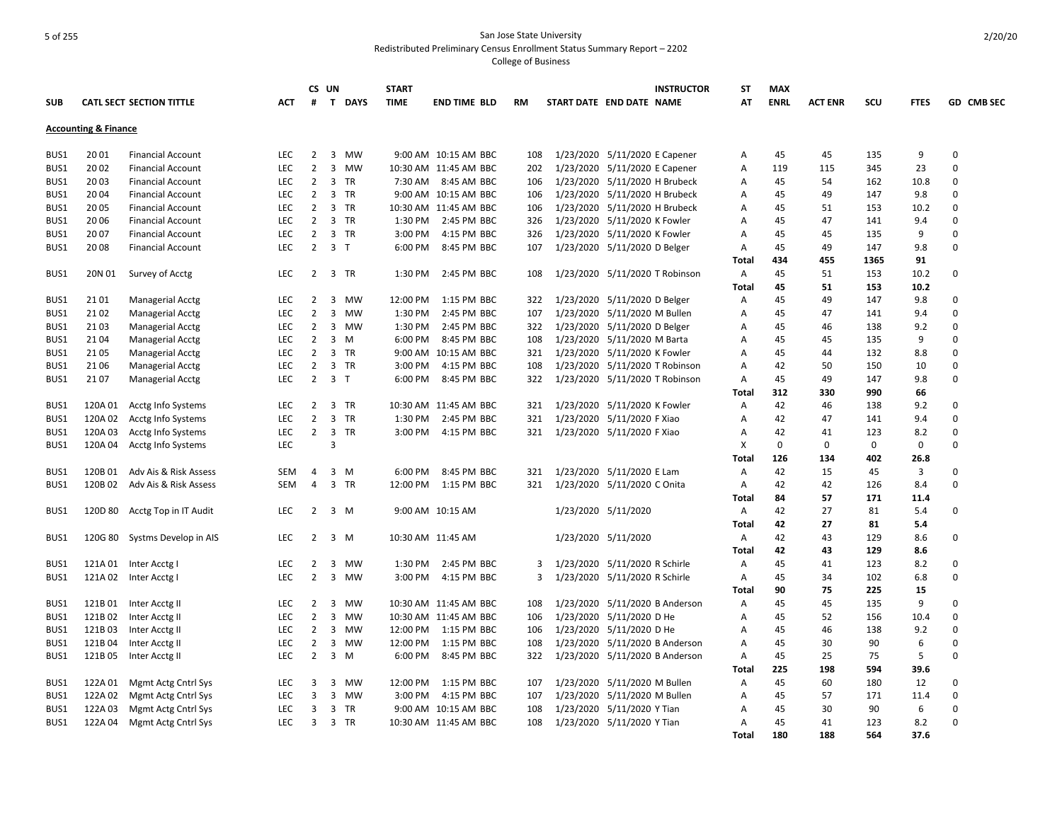|            |                                 |                                 |            |                | CS UN                                | <b>START</b> |                       |           |                               |                               | <b>INSTRUCTOR</b>              | ST           | <b>MAX</b>  |                |      |             |             |
|------------|---------------------------------|---------------------------------|------------|----------------|--------------------------------------|--------------|-----------------------|-----------|-------------------------------|-------------------------------|--------------------------------|--------------|-------------|----------------|------|-------------|-------------|
| <b>SUB</b> |                                 | <b>CATL SECT SECTION TITTLE</b> | АСТ        | #              | T<br><b>DAYS</b>                     | <b>TIME</b>  | <b>END TIME BLD</b>   | <b>RM</b> | START DATE END DATE NAME      |                               |                                | AT           | <b>ENRL</b> | <b>ACT ENR</b> | scu  | <b>FTES</b> | GD CMB SEC  |
|            | <b>Accounting &amp; Finance</b> |                                 |            |                |                                      |              |                       |           |                               |                               |                                |              |             |                |      |             |             |
|            |                                 |                                 |            |                |                                      |              |                       |           |                               |                               |                                |              |             |                |      |             |             |
| BUS1       | 20 01                           | <b>Financial Account</b>        | LEC        | 2              | 3 MW                                 |              | 9:00 AM 10:15 AM BBC  | 108       |                               | 1/23/2020 5/11/2020 E Capener |                                | Α            | 45          | 45             | 135  | 9           | $\mathbf 0$ |
| BUS1       | 20 02                           | <b>Financial Account</b>        | <b>LEC</b> | $\overline{2}$ | $\overline{\mathbf{3}}$<br><b>MW</b> |              | 10:30 AM 11:45 AM BBC | 202       |                               | 1/23/2020 5/11/2020 E Capener |                                | Α            | 119         | 115            | 345  | 23          | $\mathbf 0$ |
| BUS1       | 20 03                           | <b>Financial Account</b>        | LEC        | $\overline{2}$ | 3 TR                                 | 7:30 AM      | 8:45 AM BBC           | 106       |                               | 1/23/2020 5/11/2020 H Brubeck |                                | Α            | 45          | 54             | 162  | 10.8        | $\mathbf 0$ |
| BUS1       | 2004                            | <b>Financial Account</b>        | <b>LEC</b> | $\overline{2}$ | 3 TR                                 |              | 9:00 AM 10:15 AM BBC  | 106       |                               | 1/23/2020 5/11/2020 H Brubeck |                                | Α            | 45          | 49             | 147  | 9.8         | $\mathbf 0$ |
| BUS1       | 20 05                           | <b>Financial Account</b>        | <b>LEC</b> | $\overline{2}$ | 3 TR                                 |              | 10:30 AM 11:45 AM BBC | 106       |                               | 1/23/2020 5/11/2020 H Brubeck |                                | Α            | 45          | 51             | 153  | 10.2        | $\mathbf 0$ |
| BUS1       | 20 06                           | <b>Financial Account</b>        | <b>LEC</b> | $\overline{2}$ | 3 TR                                 | 1:30 PM      | 2:45 PM BBC           | 326       |                               | 1/23/2020 5/11/2020 K Fowler  |                                | Α            | 45          | 47             | 141  | 9.4         | $\mathbf 0$ |
| BUS1       | 20 07                           | <b>Financial Account</b>        | LEC        | $\overline{2}$ | 3 TR                                 | 3:00 PM      | 4:15 PM BBC           | 326       |                               | 1/23/2020 5/11/2020 K Fowler  |                                | Α            | 45          | 45             | 135  | 9           | $\mathbf 0$ |
| BUS1       | 2008                            | <b>Financial Account</b>        | <b>LEC</b> | $\overline{2}$ | 3 <sub>1</sub>                       | 6:00 PM      | 8:45 PM BBC           | 107       |                               | 1/23/2020 5/11/2020 D Belger  |                                | Α            | 45          | 49             | 147  | 9.8         | 0           |
|            |                                 |                                 |            |                |                                      |              |                       |           |                               |                               |                                | Total        | 434         | 455            | 1365 | 91          |             |
| BUS1       | 20N 01                          | Survey of Acctg                 | <b>LEC</b> | $\overline{2}$ | 3 TR                                 | 1:30 PM      | 2:45 PM BBC           | 108       |                               |                               | 1/23/2020 5/11/2020 T Robinson | Α            | 45          | 51             | 153  | 10.2        | $\mathbf 0$ |
|            |                                 |                                 |            |                |                                      |              |                       |           |                               |                               |                                | Total        | 45          | 51             | 153  | 10.2        |             |
| BUS1       | 21 01                           | <b>Managerial Acctg</b>         | <b>LEC</b> | $\overline{2}$ | $\overline{\mathbf{3}}$<br><b>MW</b> | 12:00 PM     | 1:15 PM BBC           | 322       |                               | 1/23/2020 5/11/2020 D Belger  |                                | Α            | 45          | 49             | 147  | 9.8         | 0           |
| BUS1       | 21 02                           | Managerial Acctg                | <b>LEC</b> | $\overline{2}$ | $\overline{3}$<br>MW                 | 1:30 PM      | 2:45 PM BBC           | 107       |                               | 1/23/2020 5/11/2020 M Bullen  |                                | Α            | 45          | 47             | 141  | 9.4         | $\mathbf 0$ |
| BUS1       | 2103                            | <b>Managerial Acctg</b>         | <b>LEC</b> | $\overline{2}$ | $\overline{3}$<br>MW                 | 1:30 PM      | 2:45 PM BBC           | 322       |                               | 1/23/2020 5/11/2020 D Belger  |                                | Α            | 45          | 46             | 138  | 9.2         | $\mathbf 0$ |
| BUS1       | 21 04                           | <b>Managerial Acctg</b>         | LEC        | $\overline{2}$ | 3 M                                  | 6:00 PM      | 8:45 PM BBC           | 108       |                               | 1/23/2020 5/11/2020 M Barta   |                                | Α            | 45          | 45             | 135  | 9           | $\mathbf 0$ |
| BUS1       | 2105                            | Managerial Acctg                | <b>LEC</b> | $\overline{2}$ | 3 TR                                 | 9:00 AM      | 10:15 AM BBC          | 321       |                               | 1/23/2020 5/11/2020 K Fowler  |                                | A            | 45          | 44             | 132  | 8.8         | $\mathbf 0$ |
| BUS1       | 21 06                           | <b>Managerial Acctg</b>         | LEC        | $\overline{2}$ | 3 TR                                 | 3:00 PM      | 4:15 PM BBC           | 108       |                               |                               | 1/23/2020 5/11/2020 T Robinson | Α            | 42          | 50             | 150  | 10          | $\mathbf 0$ |
| BUS1       | 2107                            | <b>Managerial Acctg</b>         | LEC        | $\overline{2}$ | 3 <sub>T</sub>                       | 6:00 PM      | 8:45 PM BBC           | 322       |                               |                               | 1/23/2020 5/11/2020 T Robinson | Α            | 45          | 49             | 147  | 9.8         | $\mathbf 0$ |
|            |                                 |                                 |            |                |                                      |              |                       |           |                               |                               |                                | Total        | 312         | 330            | 990  | 66          |             |
| BUS1       | 120A 01                         | Acctg Info Systems              | <b>LEC</b> | $\overline{2}$ | 3 TR                                 |              | 10:30 AM 11:45 AM BBC | 321       |                               | 1/23/2020 5/11/2020 K Fowler  |                                | Α            | 42          | 46             | 138  | 9.2         | $\mathbf 0$ |
| BUS1       | 120A 02                         | Acctg Info Systems              | <b>LEC</b> | $\overline{2}$ | 3 TR                                 | 1:30 PM      | 2:45 PM BBC           | 321       |                               | 1/23/2020 5/11/2020 F Xiao    |                                | Α            | 42          | 47             | 141  | 9.4         | $\mathbf 0$ |
| BUS1       | 120A03                          | Acctg Info Systems              | LEC        | $\overline{2}$ | 3 TR                                 | 3:00 PM      | 4:15 PM BBC           | 321       |                               | 1/23/2020 5/11/2020 F Xiao    |                                | Α            | 42          | 41             | 123  | 8.2         | $\mathbf 0$ |
| BUS1       | 120A 04                         | Acctg Info Systems              | LEC        |                | 3                                    |              |                       |           |                               |                               |                                | Χ            | 0           | 0              | 0    | 0           | $\mathbf 0$ |
|            |                                 |                                 |            |                |                                      |              |                       |           |                               |                               |                                | Total        | 126         | 134            | 402  | 26.8        |             |
| BUS1       | 120B01                          | Adv Ais & Risk Assess           | SEM        | 4              | 3 M                                  | 6:00 PM      | 8:45 PM BBC           | 321       |                               | 1/23/2020 5/11/2020 E Lam     |                                | Α            | 42          | 15             | 45   | 3           | $\mathbf 0$ |
| BUS1       | 120B 02                         | Adv Ais & Risk Assess           | SEM        | 4              | 3 TR                                 | 12:00 PM     | 1:15 PM BBC           | 321       |                               | 1/23/2020 5/11/2020 C Onita   |                                | Α            | 42          | 42             | 126  | 8.4         | $\mathbf 0$ |
|            |                                 |                                 |            |                |                                      |              |                       |           |                               |                               |                                | Total        | 84          | 57             | 171  | 11.4        |             |
| BUS1       | 120D 80                         | Acctg Top in IT Audit           | <b>LEC</b> | $\overline{2}$ | $3 \, M$                             |              | 9:00 AM 10:15 AM      |           |                               | 1/23/2020 5/11/2020           |                                | Α            | 42          | 27             | 81   | 5.4         | $\mathbf 0$ |
|            |                                 |                                 |            |                |                                      |              |                       |           |                               |                               |                                | Total        | 42          | 27             | 81   | 5.4         |             |
|            | 120G 80                         |                                 | <b>LEC</b> | $\overline{2}$ | 3 M                                  |              | 10:30 AM 11:45 AM     |           |                               |                               |                                |              | 42          | 43             | 129  | 8.6         | 0           |
| BUS1       |                                 | Systms Develop in AIS           |            |                |                                      |              |                       |           |                               | 1/23/2020 5/11/2020           |                                | Α<br>Total   | 42          | 43             | 129  | 8.6         |             |
|            |                                 |                                 |            |                |                                      |              |                       |           |                               |                               |                                |              |             |                |      |             |             |
| BUS1       | 121A01                          | Inter Acctg I                   | LEC        | $\overline{2}$ | $\overline{3}$<br>MW                 | 1:30 PM      | 2:45 PM BBC           | 3         | 1/23/2020 5/11/2020 R Schirle |                               |                                | Α            | 45          | 41             | 123  | 8.2         | $\mathbf 0$ |
| BUS1       | 121A 02                         | Inter Acctg I                   | <b>LEC</b> | $\overline{2}$ | 3 MW                                 | 3:00 PM      | 4:15 PM BBC           | 3         | 1/23/2020 5/11/2020 R Schirle |                               |                                | Α            | 45          | 34             | 102  | 6.8         | 0           |
|            |                                 |                                 |            |                |                                      |              |                       |           |                               |                               |                                | Total        | 90          | 75             | 225  | 15          |             |
| BUS1       | 121B01                          | Inter Acctg II                  | LEC        | 2              | 3 MW                                 |              | 10:30 AM 11:45 AM BBC | 108       |                               |                               | 1/23/2020 5/11/2020 B Anderson | Α            | 45          | 45             | 135  | 9           | 0           |
| BUS1       | 121B02                          | Inter Acctg II                  | LEC        | $\overline{2}$ | $\overline{3}$<br>MW                 |              | 10:30 AM 11:45 AM BBC | 106       |                               | 1/23/2020 5/11/2020 D He      |                                | Α            | 45          | 52             | 156  | 10.4        | $\mathbf 0$ |
| BUS1       | 121B03                          | Inter Acctg II                  | LEC        | $\overline{2}$ | 3 MW                                 | 12:00 PM     | 1:15 PM BBC           | 106       |                               | 1/23/2020 5/11/2020 D He      |                                | Α            | 45          | 46             | 138  | 9.2         | $\mathbf 0$ |
| BUS1       | 121B04                          | Inter Acctg II                  | <b>LEC</b> | $\overline{2}$ | 3<br>MW                              | 12:00 PM     | 1:15 PM BBC           | 108       |                               |                               | 1/23/2020 5/11/2020 B Anderson | Α            | 45          | 30             | 90   | 6           | $\mathbf 0$ |
| BUS1       | 121B05                          | Inter Acctg II                  | <b>LEC</b> | $\overline{2}$ | 3 M                                  | 6:00 PM      | 8:45 PM BBC           | 322       |                               |                               | 1/23/2020 5/11/2020 B Anderson | Α            | 45          | 25             | 75   | 5           | $\mathbf 0$ |
|            |                                 |                                 |            |                |                                      |              |                       |           |                               |                               |                                | <b>Total</b> | 225         | 198            | 594  | 39.6        |             |
| BUS1       | 122A 01                         | Mgmt Actg Cntrl Sys             | LEC        | 3              | $\overline{3}$<br>MW                 | 12:00 PM     | 1:15 PM BBC           | 107       |                               | 1/23/2020 5/11/2020 M Bullen  |                                | Α            | 45          | 60             | 180  | 12          | 0           |
| BUS1       | 122A 02                         | Mgmt Actg Cntrl Sys             | <b>LEC</b> | 3              | 3 MW                                 | 3:00 PM      | 4:15 PM BBC           | 107       |                               | 1/23/2020 5/11/2020 M Bullen  |                                | Α            | 45          | 57             | 171  | 11.4        | $\mathbf 0$ |
| BUS1       | 122A03                          | Mgmt Actg Cntrl Sys             | <b>LEC</b> | 3              | 3 TR                                 |              | 9:00 AM 10:15 AM BBC  | 108       |                               | 1/23/2020 5/11/2020 Y Tian    |                                | Α            | 45          | 30             | 90   | 6           | $\mathbf 0$ |
| BUS1       | 122A 04                         | Mgmt Actg Cntrl Sys             | <b>LEC</b> | 3              | 3 TR                                 |              | 10:30 AM 11:45 AM BBC | 108       |                               | 1/23/2020 5/11/2020 Y Tian    |                                | Α            | 45          | 41             | 123  | 8.2         | $\mathbf 0$ |
|            |                                 |                                 |            |                |                                      |              |                       |           |                               |                               |                                | <b>Total</b> | 180         | 188            | 564  | 37.6        |             |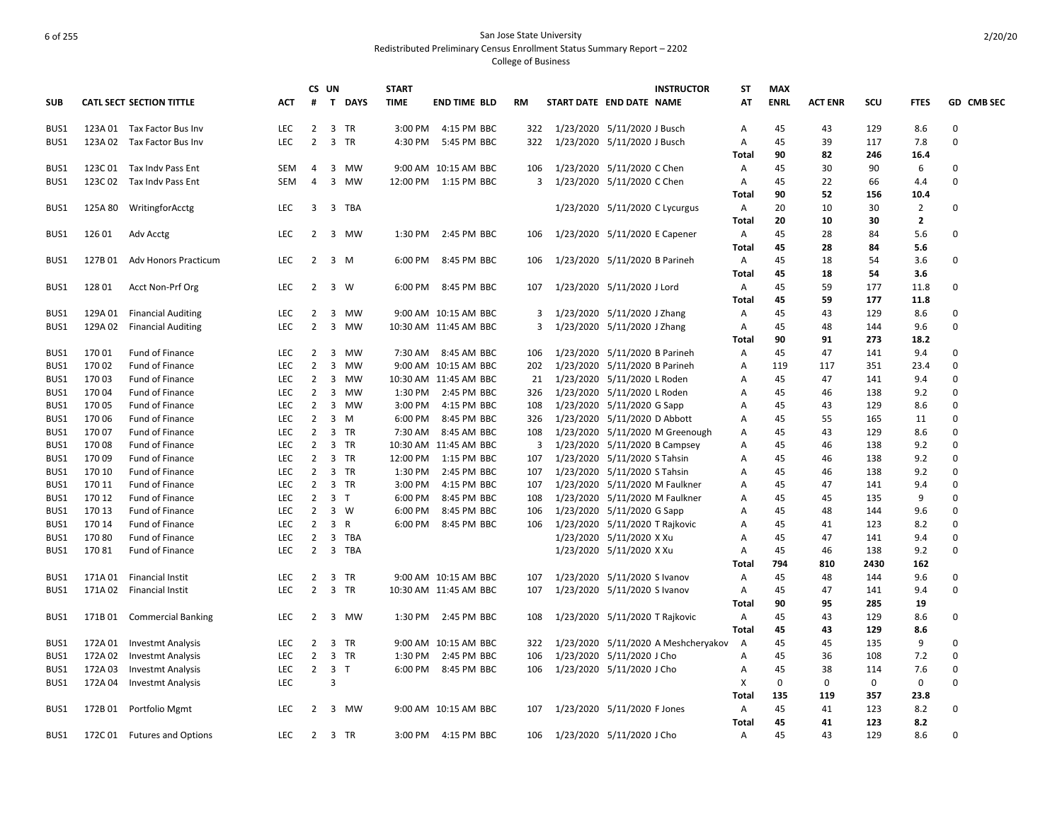|            |         |                                 |            |                | CS UN |                | <b>START</b> |                       |           |                             |                                | <b>INSTRUCTOR</b>                   | SΤ    | <b>MAX</b>  |                |      |                |                   |
|------------|---------|---------------------------------|------------|----------------|-------|----------------|--------------|-----------------------|-----------|-----------------------------|--------------------------------|-------------------------------------|-------|-------------|----------------|------|----------------|-------------------|
| <b>SUB</b> |         | <b>CATL SECT SECTION TITTLE</b> | <b>ACT</b> | #              |       | T DAYS         | <b>TIME</b>  | <b>END TIME BLD</b>   | <b>RM</b> | START DATE END DATE NAME    |                                |                                     | AT    | <b>ENRL</b> | <b>ACT ENR</b> | scu  | <b>FTES</b>    | <b>GD CMB SEC</b> |
| BUS1       |         | 123A 01 Tax Factor Bus Inv      | <b>LEC</b> | $\overline{2}$ |       | 3 TR           | 3:00 PM      | 4:15 PM BBC           | 322       | 1/23/2020 5/11/2020 J Busch |                                |                                     | Α     | 45          | 43             | 129  | 8.6            | 0                 |
| BUS1       | 123A 02 | Tax Factor Bus Inv              | <b>LEC</b> | $\overline{2}$ |       | 3 TR           | 4:30 PM      | 5:45 PM BBC           | 322       |                             | 1/23/2020 5/11/2020 J Busch    |                                     | A     | 45          | 39             | 117  | 7.8            | $\mathbf 0$       |
|            |         |                                 |            |                |       |                |              |                       |           |                             |                                |                                     | Total | 90          | 82             | 246  | 16.4           |                   |
| BUS1       | 123C 01 | Tax Indy Pass Ent               | <b>SEM</b> | 4              |       | 3 MW           |              | 9:00 AM 10:15 AM BBC  | 106       |                             | 1/23/2020 5/11/2020 C Chen     |                                     | Α     | 45          | 30             | 90   | 6              | $\Omega$          |
| BUS1       | 123C 02 | Tax Indy Pass Ent               | SEM        | $\overline{4}$ |       | 3 MW           |              | 12:00 PM 1:15 PM BBC  | 3         | 1/23/2020 5/11/2020 C Chen  |                                |                                     | Α     | 45          | 22             | 66   | 4.4            | $\mathbf 0$       |
|            |         |                                 |            |                |       |                |              |                       |           |                             |                                |                                     | Total | 90          | 52             | 156  | 10.4           |                   |
| BUS1       | 125A 80 | WritingforAcctg                 | <b>LEC</b> | 3              |       | 3 TBA          |              |                       |           |                             | 1/23/2020 5/11/2020 C Lycurgus |                                     | Α     | 20          | 10             | 30   | $\overline{2}$ | 0                 |
|            |         |                                 |            |                |       |                |              |                       |           |                             |                                |                                     | Total | 20          | 10             | 30   | $\mathbf{2}$   |                   |
| BUS1       | 126 01  | Adv Acctg                       | <b>LEC</b> | 2              |       | 3 MW           | 1:30 PM      | 2:45 PM BBC           | 106       |                             | 1/23/2020 5/11/2020 E Capener  |                                     | Α     | 45          | 28             | 84   | 5.6            | 0                 |
|            |         |                                 |            |                |       |                |              |                       |           |                             |                                |                                     | Total | 45          | 28             | 84   | 5.6            |                   |
| BUS1       | 127B01  | <b>Adv Honors Practicum</b>     | LEC        | $\overline{2}$ |       | 3 M            | 6:00 PM      | 8:45 PM BBC           | 106       |                             | 1/23/2020 5/11/2020 B Parineh  |                                     | Α     | 45          | 18             | 54   | 3.6            | 0                 |
|            |         |                                 |            |                |       |                |              |                       |           |                             |                                |                                     | Total | 45          | 18             | 54   | 3.6            |                   |
| BUS1       | 12801   | Acct Non-Prf Org                | <b>LEC</b> | $\overline{2}$ |       | 3 W            |              | 6:00 PM 8:45 PM BBC   | 107       |                             | 1/23/2020 5/11/2020 J Lord     |                                     | Α     | 45          | 59             | 177  | 11.8           | 0                 |
|            |         |                                 |            |                |       |                |              |                       |           |                             |                                |                                     | Total | 45          | 59             | 177  | 11.8           |                   |
| BUS1       | 129A 01 | <b>Financial Auditing</b>       | <b>LEC</b> | 2              |       | 3 MW           |              | 9:00 AM 10:15 AM BBC  | 3         | 1/23/2020 5/11/2020 J Zhang |                                |                                     | Α     | 45          | 43             | 129  | 8.6            | $\Omega$          |
| BUS1       | 129A 02 | <b>Financial Auditing</b>       | <b>LEC</b> | $\overline{2}$ |       | 3 MW           |              | 10:30 AM 11:45 AM BBC | 3         |                             | 1/23/2020 5/11/2020 J Zhang    |                                     | Α     | 45          | 48             | 144  | 9.6            | $\mathbf 0$       |
|            |         |                                 |            |                |       |                |              |                       |           |                             |                                |                                     | Total | 90          | 91             | 273  | 18.2           |                   |
| BUS1       | 17001   | Fund of Finance                 | <b>LEC</b> | $\overline{2}$ |       | 3 MW           | 7:30 AM      | 8:45 AM BBC           | 106       |                             | 1/23/2020 5/11/2020 B Parineh  |                                     | Α     | 45          | 47             | 141  | 9.4            | $\Omega$          |
| BUS1       | 17002   | Fund of Finance                 | <b>LEC</b> | $\overline{2}$ |       | 3 MW           |              | 9:00 AM 10:15 AM BBC  | 202       |                             | 1/23/2020 5/11/2020 B Parineh  |                                     | Α     | 119         | 117            | 351  | 23.4           | $\Omega$          |
| BUS1       | 17003   | Fund of Finance                 | <b>LEC</b> | $\overline{2}$ |       | 3 MW           |              | 10:30 AM 11:45 AM BBC | 21        |                             | 1/23/2020 5/11/2020 L Roden    |                                     | Α     | 45          | 47             | 141  | 9.4            | 0                 |
| BUS1       | 17004   | Fund of Finance                 | <b>LEC</b> | 2              |       | 3 MW           | 1:30 PM      | 2:45 PM BBC           | 326       |                             | 1/23/2020 5/11/2020 L Roden    |                                     | Α     | 45          | 46             | 138  | 9.2            | $\mathbf 0$       |
| BUS1       | 17005   | Fund of Finance                 | <b>LEC</b> | $\overline{2}$ |       | 3 MW           | 3:00 PM      | 4:15 PM BBC           | 108       |                             | 1/23/2020 5/11/2020 G Sapp     |                                     | Α     | 45          | 43             | 129  | 8.6            | $\Omega$          |
| BUS1       | 17006   | Fund of Finance                 | <b>LEC</b> | $\overline{2}$ |       | 3 M            | 6:00 PM      | 8:45 PM BBC           | 326       |                             | 1/23/2020 5/11/2020 D Abbott   |                                     | Α     | 45          | 55             | 165  | 11             | $\mathbf 0$       |
| BUS1       | 17007   | Fund of Finance                 | <b>LEC</b> | $\overline{2}$ |       | 3 TR           | 7:30 AM      | 8:45 AM BBC           | 108       |                             |                                | 1/23/2020 5/11/2020 M Greenough     | Α     | 45          | 43             | 129  | 8.6            | 0                 |
| BUS1       | 17008   | Fund of Finance                 | <b>LEC</b> | $\overline{2}$ |       | 3 TR           |              | 10:30 AM 11:45 AM BBC | 3         |                             | 1/23/2020 5/11/2020 B Campsey  |                                     | Α     | 45          | 46             | 138  | 9.2            | 0                 |
| BUS1       | 17009   | Fund of Finance                 | <b>LEC</b> | $2^{\circ}$    |       | 3 TR           | 12:00 PM     | 1:15 PM BBC           | 107       |                             | 1/23/2020 5/11/2020 S Tahsin   |                                     | Α     | 45          | 46             | 138  | 9.2            | $\mathbf 0$       |
| BUS1       | 170 10  | Fund of Finance                 | <b>LEC</b> | $\overline{2}$ |       | 3 TR           | 1:30 PM      | 2:45 PM BBC           | 107       |                             | 1/23/2020 5/11/2020 S Tahsin   |                                     | Α     | 45          | 46             | 138  | 9.2            | 0                 |
| BUS1       | 170 11  | Fund of Finance                 | <b>LEC</b> | $\overline{2}$ |       | 3 TR           | 3:00 PM      | 4:15 PM BBC           | 107       |                             |                                | 1/23/2020 5/11/2020 M Faulkner      | Α     | 45          | 47             | 141  | 9.4            | 0                 |
| BUS1       | 170 12  | Fund of Finance                 | <b>LEC</b> | $\overline{2}$ |       | 3 <sub>1</sub> | 6:00 PM      | 8:45 PM BBC           | 108       |                             | 1/23/2020 5/11/2020 M Faulkner |                                     | Α     | 45          | 45             | 135  | 9              | $\mathbf 0$       |
| BUS1       | 170 13  | Fund of Finance                 | <b>LEC</b> | $\overline{2}$ |       | 3 W            | 6:00 PM      | 8:45 PM BBC           | 106       |                             | 1/23/2020 5/11/2020 G Sapp     |                                     | Α     | 45          | 48             | 144  | 9.6            | 0                 |
| BUS1       | 170 14  | Fund of Finance                 | <b>LEC</b> | $\overline{2}$ |       | 3 R            | 6:00 PM      | 8:45 PM BBC           | 106       |                             | 1/23/2020 5/11/2020 T Rajkovic |                                     | Α     | 45          | 41             | 123  | 8.2            | 0                 |
| BUS1       | 17080   | Fund of Finance                 | <b>LEC</b> | $2^{\circ}$    |       | 3 TBA          |              |                       |           |                             | 1/23/2020 5/11/2020 X Xu       |                                     | Α     | 45          | 47             | 141  | 9.4            | 0                 |
| BUS1       | 17081   | Fund of Finance                 | <b>LEC</b> | $\overline{2}$ |       | 3 TBA          |              |                       |           |                             | 1/23/2020 5/11/2020 X Xu       |                                     | Α     | 45          | 46             | 138  | 9.2            | $\Omega$          |
|            |         |                                 |            |                |       |                |              |                       |           |                             |                                |                                     | Total | 794         | 810            | 2430 | 162            |                   |
| BUS1       | 171A 01 | <b>Financial Instit</b>         | <b>LEC</b> | $\overline{2}$ |       | 3 TR           |              | 9:00 AM 10:15 AM BBC  | 107       |                             | 1/23/2020 5/11/2020 S Ivanov   |                                     | Α     | 45          | 48             | 144  | 9.6            | 0                 |
| BUS1       |         | 171A 02 Financial Instit        | <b>LEC</b> | $\overline{2}$ |       | 3 TR           |              | 10:30 AM 11:45 AM BBC | 107       |                             | 1/23/2020 5/11/2020 S Ivanov   |                                     | Α     | 45          | 47             | 141  | 9.4            | $\mathbf 0$       |
|            |         |                                 |            |                |       |                |              |                       |           |                             |                                |                                     | Total | 90          | 95             | 285  | 19             |                   |
| BUS1       |         | 171B 01 Commercial Banking      | LEC        | $2^{\circ}$    |       | 3 MW           |              | 1:30 PM 2:45 PM BBC   | 108       |                             | 1/23/2020 5/11/2020 T Rajkovic |                                     | Α     | 45          | 43             | 129  | 8.6            | $\mathbf 0$       |
|            |         |                                 |            |                |       |                |              |                       |           |                             |                                |                                     | Total | 45          | 43             | 129  | 8.6            |                   |
| BUS1       | 172A 01 | <b>Investmt Analysis</b>        | LEC        | $2^{\circ}$    |       | 3 TR           |              | 9:00 AM 10:15 AM BBC  | 322       |                             |                                | 1/23/2020 5/11/2020 A Meshcheryakov | A     | 45          | 45             | 135  | 9              | $\Omega$          |
| BUS1       | 172A 02 | <b>Investmt Analysis</b>        | <b>LEC</b> | $\overline{2}$ |       | 3 TR           | 1:30 PM      | 2:45 PM BBC           | 106       |                             | 1/23/2020 5/11/2020 J Cho      |                                     | Α     | 45          | 36             | 108  | 7.2            | $\Omega$          |
| BUS1       | 172A 03 | <b>Investmt Analysis</b>        | <b>LEC</b> | $2^{\circ}$    |       | 3 <sub>1</sub> |              | 6:00 PM 8:45 PM BBC   | 106       |                             | 1/23/2020 5/11/2020 J Cho      |                                     | Α     | 45          | 38             | 114  | 7.6            | 0                 |
| BUS1       | 172A 04 | <b>Investmt Analysis</b>        | LEC        |                | 3     |                |              |                       |           |                             |                                |                                     | х     | 0           | $\Omega$       | 0    | $\mathbf 0$    | $\Omega$          |
|            |         |                                 |            |                |       |                |              |                       |           |                             |                                |                                     | Total | 135         | 119            | 357  | 23.8           |                   |
| BUS1       | 172B01  | Portfolio Mgmt                  | <b>LEC</b> | $\overline{2}$ |       | 3 MW           |              | 9:00 AM 10:15 AM BBC  | 107       |                             | 1/23/2020 5/11/2020 F Jones    |                                     | Α     | 45          | 41             | 123  | 8.2            | $\mathbf 0$       |
|            |         |                                 |            |                |       |                |              |                       |           |                             |                                |                                     | Total | 45          | 41             | 123  | 8.2            |                   |
| BUS1       | 172C 01 | <b>Futures and Options</b>      | <b>LEC</b> |                |       | 2 3 TR         |              | 3:00 PM 4:15 PM BBC   | 106       | 1/23/2020 5/11/2020 J Cho   |                                |                                     | A     | 45          | 43             | 129  | 8.6            | $\Omega$          |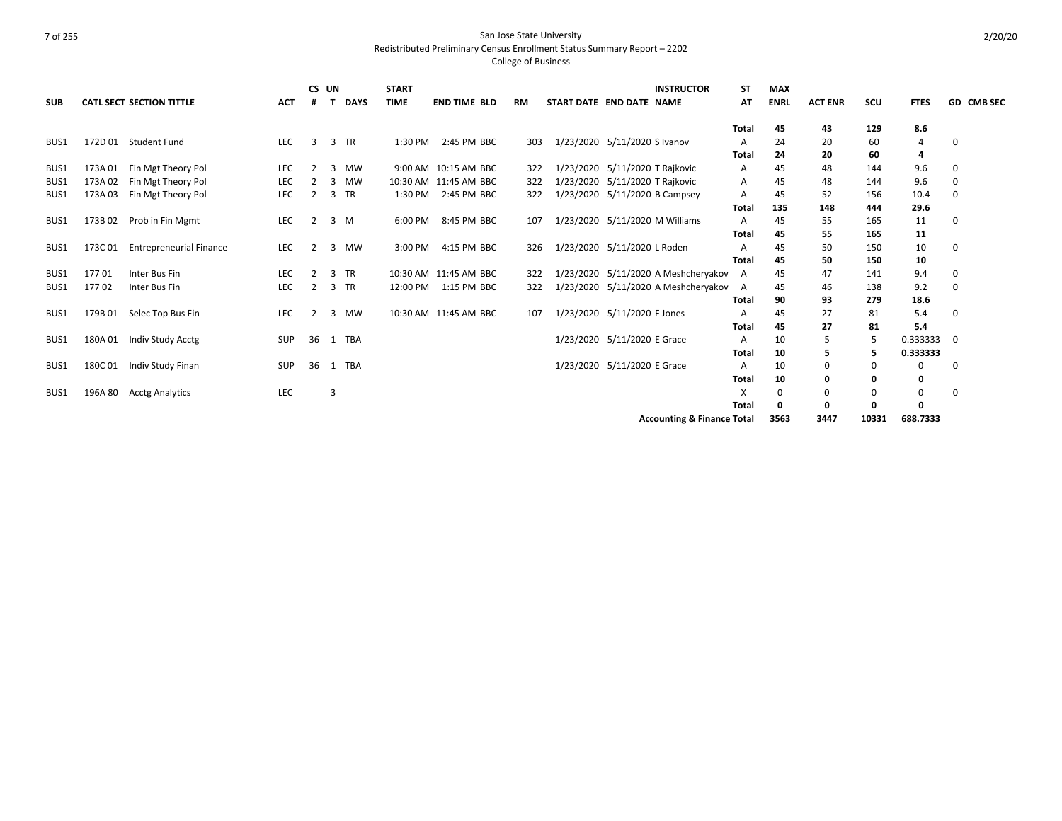|                  |         |                                 |            |                | CS UN        |             | <b>START</b> |                       |           | <b>INSTRUCTOR</b>                     | SΤ           | <b>MAX</b>  |                |       |              |                   |
|------------------|---------|---------------------------------|------------|----------------|--------------|-------------|--------------|-----------------------|-----------|---------------------------------------|--------------|-------------|----------------|-------|--------------|-------------------|
| <b>SUB</b>       |         | <b>CATL SECT SECTION TITTLE</b> | <b>ACT</b> | #              | $\mathbf{T}$ | <b>DAYS</b> | <b>TIME</b>  | <b>END TIME BLD</b>   | <b>RM</b> | START DATE END DATE NAME              | AT           | <b>ENRL</b> | <b>ACT ENR</b> | scu   | <b>FTES</b>  | <b>GD CMB SEC</b> |
|                  |         |                                 |            |                |              |             |              |                       |           |                                       | <b>Total</b> | 45          | 43             | 129   | 8.6          |                   |
| BUS1             | 172D 01 | Student Fund                    | <b>LEC</b> | 3              |              | 3 TR        | 1:30 PM      | 2:45 PM BBC           | 303       | 1/23/2020 5/11/2020 S Ivanov          | A            | 24          | 20             | 60    | 4            | <sup>0</sup>      |
|                  |         |                                 |            |                |              |             |              |                       |           |                                       | <b>Total</b> | 24          | 20             | 60    | 4            |                   |
| BUS1             | 173A01  | Fin Mgt Theory Pol              | <b>LEC</b> | $\overline{2}$ | 3            | MW          |              | 9:00 AM 10:15 AM BBC  | 322       | 1/23/2020 5/11/2020 T Rajkovic        | Α            | 45          | 48             | 144   | 9.6          | 0                 |
| BUS <sub>1</sub> | 173A02  | Fin Mgt Theory Pol              | <b>LEC</b> |                | 3            | MW          |              | 10:30 AM 11:45 AM BBC | 322       | 1/23/2020 5/11/2020 T Rajkovic        | A            | 45          | 48             | 144   | 9.6          | 0                 |
| BUS1             | 173A03  | Fin Mgt Theory Pol              | <b>LEC</b> | 2              |              | 3 TR        | 1:30 PM      | 2:45 PM BBC           | 322       | 1/23/2020 5/11/2020 B Campsey         | A            | 45          | 52             | 156   | 10.4         | 0                 |
|                  |         |                                 |            |                |              |             |              |                       |           |                                       | <b>Total</b> | 135         | 148            | 444   | 29.6         |                   |
| BUS1             | 173B02  | Prob in Fin Mgmt                | LEC        | 2              |              | $3 \, M$    | 6:00 PM      | 8:45 PM BBC           | 107       | 1/23/2020 5/11/2020 M Williams        | A            | 45          | 55             | 165   | 11           | 0                 |
|                  |         |                                 |            |                |              |             |              |                       |           |                                       | Total        | 45          | 55             | 165   | 11           |                   |
| BUS1             | 173C01  | <b>Entrepreneurial Finance</b>  | <b>LEC</b> | 2              | 3            | MW          | 3:00 PM      | 4:15 PM BBC           | 326       | 1/23/2020 5/11/2020 L Roden           | A            | 45          | 50             | 150   | 10           | 0                 |
|                  |         |                                 |            |                |              |             |              |                       |           |                                       | <b>Total</b> | 45          | 50             | 150   | 10           |                   |
| BUS <sub>1</sub> | 17701   | Inter Bus Fin                   | LEC        | 2              |              | 3 TR        |              | 10:30 AM 11:45 AM BBC | 322       | 1/23/2020 5/11/2020 A Meshcheryakov   | A            | 45          | 47             | 141   | 9.4          | 0                 |
| BUS1             | 17702   | Inter Bus Fin                   | <b>LEC</b> | 2              |              | 3 TR        | 12:00 PM     | 1:15 PM BBC           | 322       | 1/23/2020 5/11/2020 A Meshcheryakov   | A            | 45          | 46             | 138   | 9.2          | 0                 |
|                  |         |                                 |            |                |              |             |              |                       |           |                                       | Total        | 90          | 93             | 279   | 18.6         |                   |
| BUS1             | 179B01  | Selec Top Bus Fin               | <b>LEC</b> | 2              | 3            | MW          |              | 10:30 AM 11:45 AM BBC | 107       | 1/23/2020 5/11/2020 F Jones           | A            | 45          | 27             | 81    | 5.4          | 0                 |
|                  |         |                                 |            |                |              |             |              |                       |           |                                       | Total        | 45          | 27             | 81    | 5.4          |                   |
| BUS1             | 180A01  | Indiv Study Acctg               | <b>SUP</b> | 36             |              | 1 TBA       |              |                       |           | 1/23/2020 5/11/2020 E Grace           | A            | 10          |                | 5     | 0.333333     | 0                 |
|                  |         |                                 |            |                |              |             |              |                       |           |                                       | Total        | 10          | 5              | 5     | 0.333333     |                   |
| BUS1             | 180C01  | Indiv Study Finan               | <b>SUP</b> | 36             |              | 1 TBA       |              |                       |           | 1/23/2020 5/11/2020 E Grace           | A            | 10          | 0              | 0     | $\Omega$     | 0                 |
|                  |         |                                 |            |                |              |             |              |                       |           |                                       | <b>Total</b> | 10          | 0              | 0     | $\mathbf{0}$ |                   |
| BUS1             | 196A 80 | <b>Acctg Analytics</b>          | <b>LEC</b> |                | 3            |             |              |                       |           |                                       | X            | 0           | 0              | 0     | 0            | 0                 |
|                  |         |                                 |            |                |              |             |              |                       |           |                                       | <b>Total</b> | 0           |                | O     | $\Omega$     |                   |
|                  |         |                                 |            |                |              |             |              |                       |           | <b>Accounting &amp; Finance Total</b> |              | 3563        | 3447           | 10331 | 688.7333     |                   |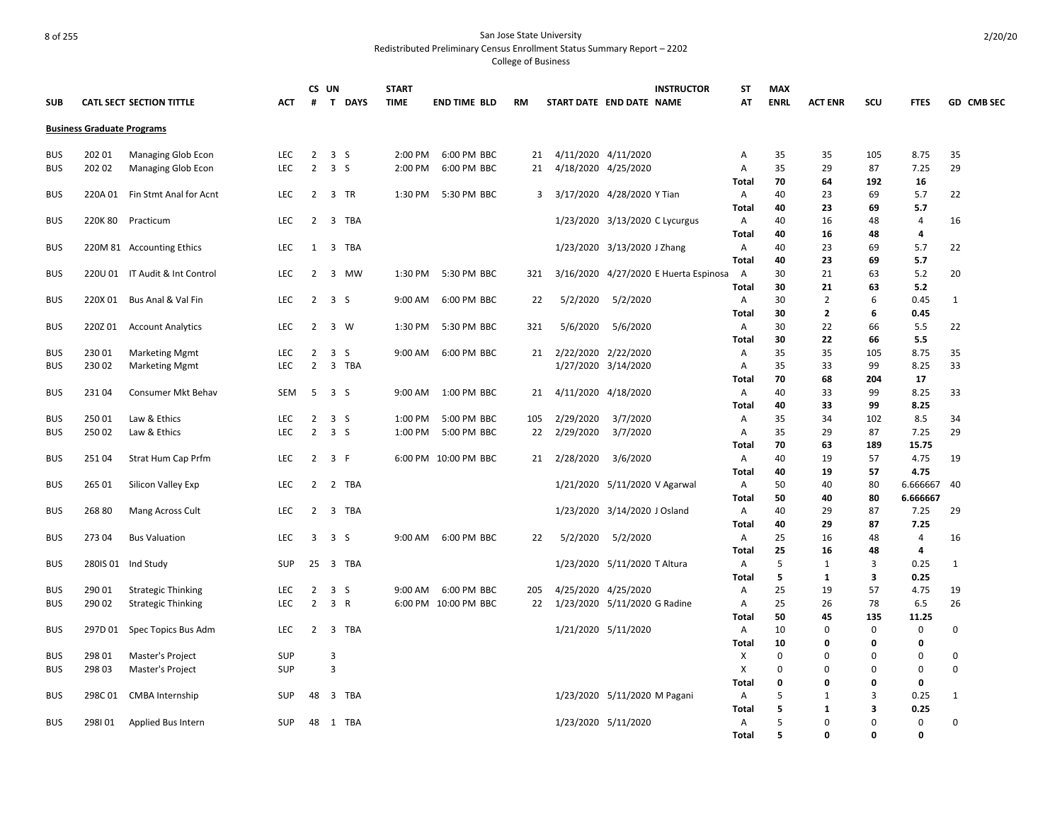College of Business

|            |                                   |                                 |            | CS UN          |                       | <b>START</b> |                      |     |           | <b>INSTRUCTOR</b>                     | <b>ST</b>    | <b>MAX</b>  |                |             |                |                   |
|------------|-----------------------------------|---------------------------------|------------|----------------|-----------------------|--------------|----------------------|-----|-----------|---------------------------------------|--------------|-------------|----------------|-------------|----------------|-------------------|
| <b>SUB</b> |                                   | <b>CATL SECT SECTION TITTLE</b> | ACT        | #              | T DAYS                | <b>TIME</b>  | <b>END TIME BLD</b>  | RM  |           | START DATE END DATE NAME              | AT           | <b>ENRL</b> | <b>ACT ENR</b> | scu         | <b>FTES</b>    | <b>GD CMB SEC</b> |
|            | <b>Business Graduate Programs</b> |                                 |            |                |                       |              |                      |     |           |                                       |              |             |                |             |                |                   |
| <b>BUS</b> | 202 01                            | Managing Glob Econ              | <b>LEC</b> | $\overline{2}$ | 3 <sub>5</sub>        | 2:00 PM      | 6:00 PM BBC          | 21  |           | 4/11/2020 4/11/2020                   | A            | 35          | 35             | 105         | 8.75           | 35                |
| <b>BUS</b> | 202 02                            | Managing Glob Econ              | LEC        | $\overline{2}$ | 3 <sub>5</sub>        | 2:00 PM      | 6:00 PM BBC          | 21  |           | 4/18/2020 4/25/2020                   | A            | 35          | 29             | 87          | 7.25           | 29                |
|            |                                   |                                 |            |                |                       |              |                      |     |           |                                       | Total        | 70          | 64             | 192         | 16             |                   |
| <b>BUS</b> | 220A 01                           | Fin Stmt Anal for Acnt          | <b>LEC</b> | $\overline{2}$ | 3 TR                  | 1:30 PM      | 5:30 PM BBC          |     |           | 3 3/17/2020 4/28/2020 Y Tian          | A            | 40          | 23             | 69          | 5.7            | 22                |
|            |                                   |                                 |            |                |                       |              |                      |     |           |                                       | Total        | 40          | 23             | 69          | 5.7            |                   |
| <b>BUS</b> | 220K80                            | Practicum                       | LEC        | 2              | 3<br>TBA              |              |                      |     |           | 1/23/2020 3/13/2020 C Lycurgus        | A            | 40          | 16             | 48          | $\overline{4}$ | 16                |
|            |                                   |                                 |            |                |                       |              |                      |     |           |                                       | Total        | 40          | 16             | 48          | 4              |                   |
| <b>BUS</b> |                                   | 220M 81 Accounting Ethics       | LEC        | 1              | $\overline{3}$<br>TBA |              |                      |     |           | 1/23/2020 3/13/2020 J Zhang           | $\mathsf{A}$ | 40          | 23             | 69          | 5.7            | 22                |
|            |                                   |                                 |            |                |                       |              |                      |     |           |                                       | Total        | 40          | 23             | 69          | 5.7            |                   |
| <b>BUS</b> |                                   | 220U 01 IT Audit & Int Control  | <b>LEC</b> | 2              | 3<br><b>MW</b>        | 1:30 PM      | 5:30 PM BBC          | 321 |           | 3/16/2020 4/27/2020 E Huerta Espinosa | A            | 30          | 21             | 63          | 5.2            | 20                |
|            |                                   |                                 |            |                |                       |              |                      |     |           |                                       | Total        | 30          | 21             | 63          | 5.2            |                   |
| <b>BUS</b> | 220X 01                           | Bus Anal & Val Fin              | LEC        | $\overline{2}$ | 3 <sub>5</sub>        | 9:00 AM      | 6:00 PM BBC          | 22  | 5/2/2020  | 5/2/2020                              | A            | 30          | $\overline{2}$ | 6           | 0.45           | 1                 |
|            |                                   |                                 |            |                |                       |              |                      |     |           |                                       | Total        | 30          | $\overline{2}$ | 6           | 0.45           |                   |
| <b>BUS</b> | 220Z01                            | <b>Account Analytics</b>        | <b>LEC</b> | 2              | 3 W                   | 1:30 PM      | 5:30 PM BBC          | 321 | 5/6/2020  | 5/6/2020                              | $\mathsf{A}$ | 30          | 22             | 66          | 5.5            | 22                |
|            |                                   |                                 |            |                |                       |              |                      |     |           |                                       | Total        | 30          | 22             | 66          | 5.5            |                   |
| <b>BUS</b> | 23001                             | <b>Marketing Mgmt</b>           | <b>LEC</b> | $\overline{2}$ | 3 <sub>5</sub>        | 9:00 AM      | 6:00 PM BBC          | 21  |           | 2/22/2020 2/22/2020                   | A            | 35          | 35             | 105         | 8.75           | 35                |
| <b>BUS</b> | 23002                             | <b>Marketing Mgmt</b>           | <b>LEC</b> | $\overline{2}$ | 3 TBA                 |              |                      |     |           | 1/27/2020 3/14/2020                   | Α            | 35          | 33             | 99          | 8.25           | 33                |
|            |                                   |                                 |            |                |                       |              |                      |     |           |                                       | <b>Total</b> | 70          | 68             | 204         | 17             |                   |
| <b>BUS</b> | 23104                             | Consumer Mkt Behav              | SEM        | 5              | 3 <sub>5</sub>        | 9:00 AM      | 1:00 PM BBC          | 21  |           | 4/11/2020 4/18/2020                   | A            | 40          | 33             | 99          | 8.25           | 33                |
|            |                                   |                                 |            |                |                       |              |                      |     |           |                                       | Total        | 40          | 33             | 99          | 8.25           |                   |
| <b>BUS</b> | 25001                             | Law & Ethics                    | LEC        | $\overline{2}$ | 3 <sub>5</sub>        | 1:00 PM      | 5:00 PM BBC          | 105 | 2/29/2020 | 3/7/2020                              | Α            | 35          | 34             | 102         | 8.5            | 34                |
| <b>BUS</b> | 25002                             | Law & Ethics                    | LEC        | $\overline{2}$ | 3 <sub>5</sub>        | 1:00 PM      | 5:00 PM BBC          | 22  | 2/29/2020 | 3/7/2020                              | A            | 35          | 29             | 87          | 7.25           | 29                |
|            |                                   |                                 |            |                |                       |              |                      |     |           |                                       | Total        | 70          | 63             | 189         | 15.75          |                   |
| <b>BUS</b> | 25104                             | Strat Hum Cap Prfm              | <b>LEC</b> | $\overline{2}$ | 3 F                   |              | 6:00 PM 10:00 PM BBC | 21  | 2/28/2020 | 3/6/2020                              | $\mathsf{A}$ | 40          | 19             | 57          | 4.75           | 19                |
|            |                                   |                                 |            |                |                       |              |                      |     |           |                                       | Total        | 40          | 19             | 57          | 4.75           |                   |
| <b>BUS</b> | 265 01                            | Silicon Valley Exp              | <b>LEC</b> | $\overline{2}$ | 2 TBA                 |              |                      |     |           | 1/21/2020 5/11/2020 V Agarwal         | A            | 50          | 40             | 80          | 6.666667       | 40                |
|            |                                   |                                 |            |                |                       |              |                      |     |           |                                       | Total        | 50          | 40             | 80          | 6.666667       |                   |
| <b>BUS</b> | 26880                             | Mang Across Cult                | <b>LEC</b> | $\overline{2}$ | 3 TBA                 |              |                      |     |           | 1/23/2020 3/14/2020 J Osland          | A            | 40          | 29             | 87          | 7.25           | 29                |
|            |                                   |                                 |            |                |                       |              |                      |     |           |                                       | Total        | 40          | 29             | 87          | 7.25           |                   |
| <b>BUS</b> | 27304                             | <b>Bus Valuation</b>            | <b>LEC</b> | 3              | 3 <sub>5</sub>        | 9:00 AM      | 6:00 PM BBC          | 22  | 5/2/2020  | 5/2/2020                              | A            | 25          | 16             | 48          | $\overline{4}$ | 16                |
|            |                                   |                                 |            |                |                       |              |                      |     |           |                                       | <b>Total</b> | 25          | 16             | 48          | 4              |                   |
| <b>BUS</b> | 280IS 01                          | Ind Study                       | <b>SUP</b> | 25             | 3 TBA                 |              |                      |     |           | 1/23/2020 5/11/2020 T Altura          | A            | 5           | 1              | 3           | 0.25           | 1                 |
|            |                                   |                                 |            |                |                       |              |                      |     |           |                                       | Total        | 5           | 1              | 3           | 0.25           |                   |
| <b>BUS</b> | 290 01                            | <b>Strategic Thinking</b>       | LEC        | $\overline{2}$ | 3 <sub>5</sub>        | 9:00 AM      | 6:00 PM BBC          | 205 |           | 4/25/2020 4/25/2020                   | Α            | 25          | 19             | 57          | 4.75           | 19                |
| <b>BUS</b> | 290 02                            | <b>Strategic Thinking</b>       | <b>LEC</b> | $\overline{2}$ | 3 R                   |              | 6:00 PM 10:00 PM BBC | 22  |           | 1/23/2020 5/11/2020 G Radine          | Α            | 25          | 26             | 78          | 6.5            | 26                |
|            |                                   |                                 |            |                |                       |              |                      |     |           |                                       | Total        | 50          | 45             | 135         | 11.25          |                   |
| <b>BUS</b> | 297D01                            | Spec Topics Bus Adm             | LEC        | $\overline{2}$ | 3 TBA                 |              |                      |     |           | 1/21/2020 5/11/2020                   | Α            | 10          | $\mathbf 0$    | $\mathbf 0$ | 0              | $\mathbf 0$       |
|            |                                   |                                 |            |                |                       |              |                      |     |           |                                       | Total        | 10          | 0              | 0           | 0              |                   |
| <b>BUS</b> | 298 01                            | Master's Project                | <b>SUP</b> |                | 3                     |              |                      |     |           |                                       | X            | 0           | 0              | $\Omega$    | 0              | 0                 |
| <b>BUS</b> | 298 03                            | Master's Project                | SUP        |                | 3                     |              |                      |     |           |                                       | X            | 0           | $\mathbf 0$    | $\Omega$    | 0              | $\Omega$          |
|            |                                   |                                 |            |                |                       |              |                      |     |           |                                       | <b>Total</b> | 0           | 0              | 0           | 0              |                   |
| <b>BUS</b> | 298C01                            | <b>CMBA</b> Internship          | <b>SUP</b> | 48             | 3 TBA                 |              |                      |     |           | 1/23/2020 5/11/2020 M Pagani          | A            | 5           | $\mathbf{1}$   | 3           | 0.25           | 1                 |
|            |                                   |                                 |            |                |                       |              |                      |     |           |                                       | <b>Total</b> | 5           | 1              | 3           | 0.25           |                   |
| <b>BUS</b> | 298101                            | Applied Bus Intern              | SUP        | 48             | 1 TBA                 |              |                      |     |           | 1/23/2020 5/11/2020                   | Α            | 5           | $\mathbf 0$    | $\Omega$    | 0              | $\mathbf 0$       |
|            |                                   |                                 |            |                |                       |              |                      |     |           |                                       | Total        | 5           | $\Omega$       | n           | $\Omega$       |                   |
|            |                                   |                                 |            |                |                       |              |                      |     |           |                                       |              |             |                |             |                |                   |

2/20/20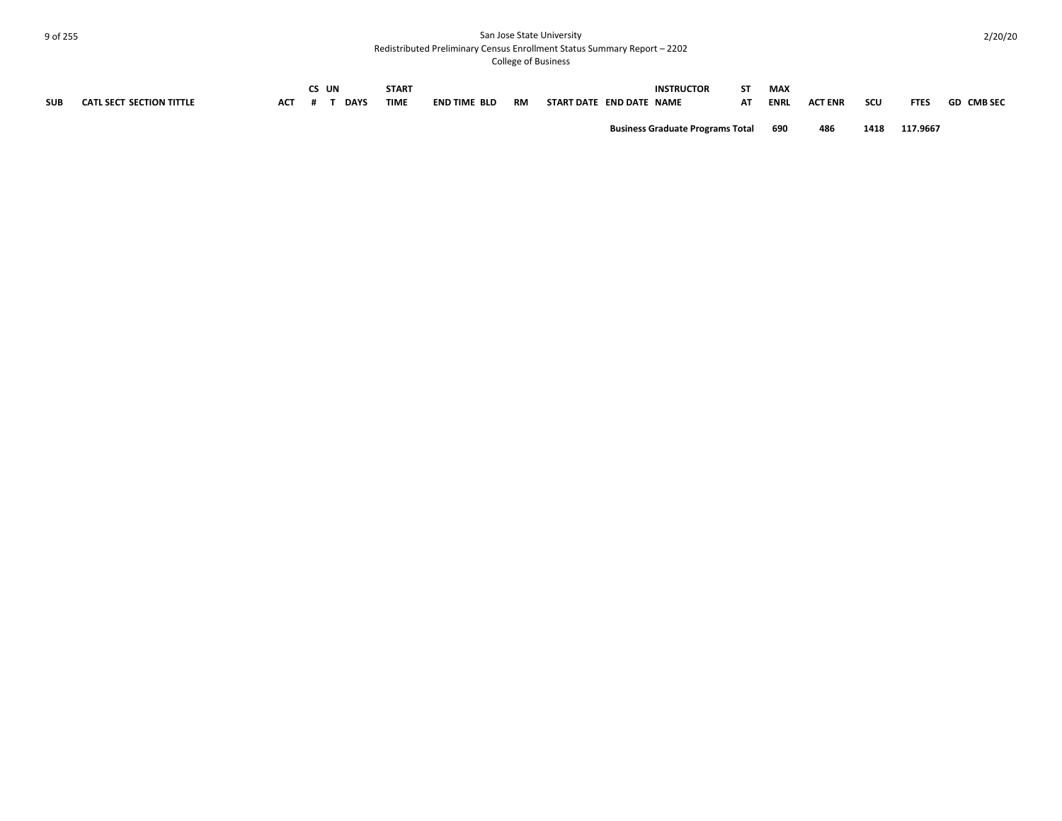| <b>SUB</b> | <b>CATL SECT SECTION TITTLE</b> | <b>ACT</b> | CS UN | <b>DAYS</b> | <b>START</b><br><b>TIME</b> | <b>END TIME BLD</b> | RM | START DATE END DATE NAME | <b>INSTRUCTOR</b>                       | SΤ<br>АΤ | <b>MAX</b><br><b>ENRL</b> | <b>ACT ENR</b> | scu  | <b>FTES</b> | <b>GD CMB SEC</b> |
|------------|---------------------------------|------------|-------|-------------|-----------------------------|---------------------|----|--------------------------|-----------------------------------------|----------|---------------------------|----------------|------|-------------|-------------------|
|            |                                 |            |       |             |                             |                     |    |                          | <b>Business Graduate Programs Total</b> |          | 690                       | 486            | 1418 | 117.9667    |                   |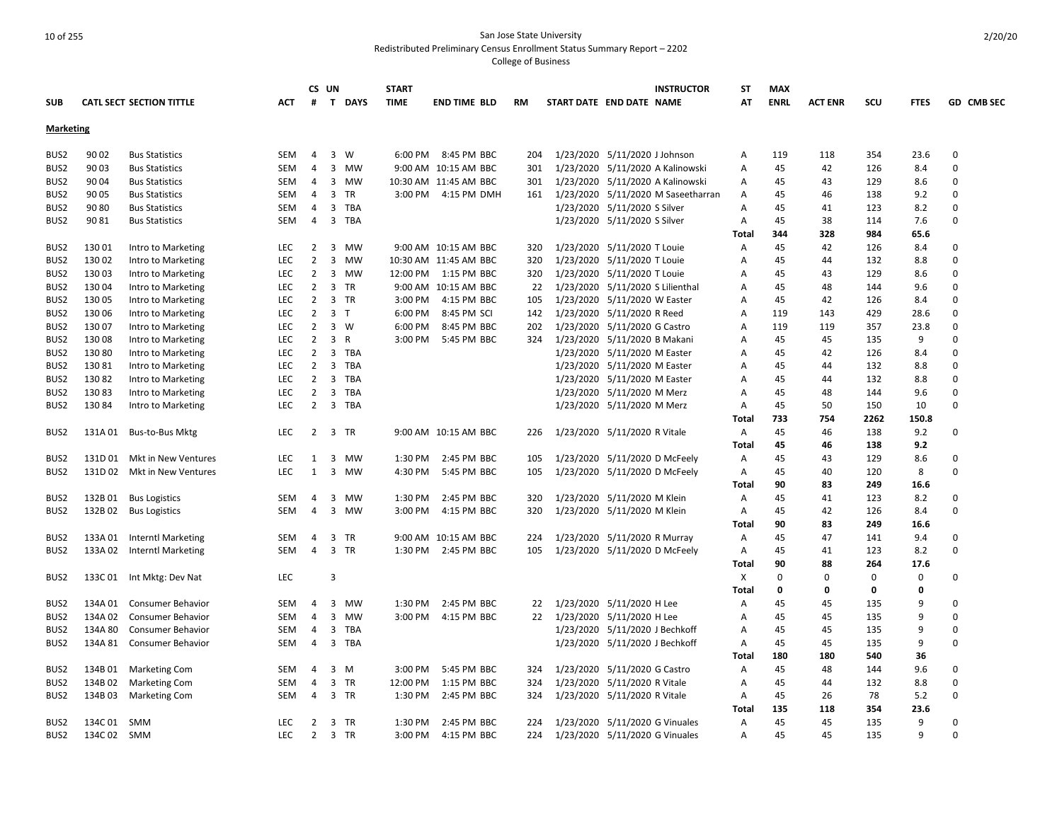|                                      |                  |                                              |                   |                | CS UN          |                | <b>START</b> |                       |              |                          |                                  | <b>INSTRUCTOR</b>                  | SΤ             | <b>MAX</b>  |                |      |             |             |
|--------------------------------------|------------------|----------------------------------------------|-------------------|----------------|----------------|----------------|--------------|-----------------------|--------------|--------------------------|----------------------------------|------------------------------------|----------------|-------------|----------------|------|-------------|-------------|
| <b>SUB</b>                           |                  | <b>CATL SECT SECTION TITTLE</b>              | <b>ACT</b>        | #              |                | T DAYS         | TIME         | <b>END TIME BLD</b>   | <b>RM</b>    | START DATE END DATE NAME |                                  |                                    | AT             | <b>ENRL</b> | <b>ACT ENR</b> | scu  | <b>FTES</b> | GD CMB SEC  |
|                                      |                  |                                              |                   |                |                |                |              |                       |              |                          |                                  |                                    |                |             |                |      |             |             |
| <b>Marketing</b>                     |                  |                                              |                   |                |                |                |              |                       |              |                          |                                  |                                    |                |             |                |      |             |             |
| BUS <sub>2</sub>                     | 90 02            | <b>Bus Statistics</b>                        | SEM               | 4              |                | 3 W            | 6:00 PM      | 8:45 PM BBC           | 204          |                          | 1/23/2020 5/11/2020 J Johnson    |                                    | A              | 119         | 118            | 354  | 23.6        | $\mathbf 0$ |
| BUS <sub>2</sub>                     | 90 03            | <b>Bus Statistics</b>                        | <b>SEM</b>        | $\overline{4}$ | $\overline{3}$ | MW             |              | 9:00 AM 10:15 AM BBC  | 301          |                          |                                  | 1/23/2020 5/11/2020 A Kalinowski   | Α              | 45          | 42             | 126  | 8.4         | $\Omega$    |
| BUS <sub>2</sub>                     | 90 04            | <b>Bus Statistics</b>                        | SEM               | 4              | $\overline{3}$ | MW             |              | 10:30 AM 11:45 AM BBC | 301          |                          |                                  | 1/23/2020 5/11/2020 A Kalinowski   | A              | 45          | 43             | 129  | 8.6         | $\mathbf 0$ |
| BUS <sub>2</sub>                     | 90 05            | <b>Bus Statistics</b>                        | <b>SEM</b>        | $\overline{4}$ | 3              | TR             |              | 3:00 PM 4:15 PM DMH   | 161          |                          |                                  | 1/23/2020 5/11/2020 M Saseetharran | A              | 45          | 46             | 138  | 9.2         | $\mathbf 0$ |
| BUS <sub>2</sub>                     | 90 80            | <b>Bus Statistics</b>                        | SEM               | 4              | $\mathbf{3}$   | TBA            |              |                       |              |                          | 1/23/2020 5/11/2020 S Silver     |                                    | Α              | 45          | 41             | 123  | 8.2         | $\mathbf 0$ |
| BUS <sub>2</sub>                     | 90 81            | <b>Bus Statistics</b>                        | <b>SEM</b>        | 4              | $\overline{3}$ | TBA            |              |                       |              |                          | 1/23/2020 5/11/2020 S Silver     |                                    | A              | 45          | 38             | 114  | 7.6         | $\Omega$    |
|                                      |                  |                                              |                   |                |                |                |              |                       |              |                          |                                  |                                    | Total          | 344         | 328            | 984  | 65.6        |             |
| BUS <sub>2</sub>                     | 13001            | Intro to Marketing                           | LEC               | $\overline{2}$ | 3              | MW             |              | 9:00 AM 10:15 AM BBC  | 320          |                          | 1/23/2020 5/11/2020 T Louie      |                                    | A              | 45          | 42             | 126  | 8.4         | $\mathbf 0$ |
| BUS2                                 | 13002            | Intro to Marketing                           | <b>LEC</b>        | $\overline{2}$ | 3              | MW             |              | 10:30 AM 11:45 AM BBC | 320          |                          | 1/23/2020 5/11/2020 T Louie      |                                    | A              | 45          | 44             | 132  | 8.8         | $\Omega$    |
| BUS <sub>2</sub>                     | 13003            | Intro to Marketing                           | <b>LEC</b>        | $\overline{2}$ | $\overline{3}$ | MW             | 12:00 PM     | 1:15 PM BBC           | 320          |                          | 1/23/2020 5/11/2020 T Louie      |                                    | A              | 45          | 43             | 129  | 8.6         | $\Omega$    |
| BUS <sub>2</sub>                     | 13004            | Intro to Marketing                           | <b>LEC</b>        | $\overline{2}$ |                | 3 TR           |              | 9:00 AM 10:15 AM BBC  | 22           |                          | 1/23/2020 5/11/2020 S Lilienthal |                                    | A              | 45          | 48             | 144  | 9.6         | $\Omega$    |
| BUS <sub>2</sub>                     | 130 05           | Intro to Marketing                           | <b>LEC</b>        | $\overline{2}$ |                | 3 TR           | 3:00 PM      | 4:15 PM BBC           | 105          |                          | 1/23/2020 5/11/2020 W Easter     |                                    | A              | 45          | 42             | 126  | 8.4         | $\Omega$    |
| BUS <sub>2</sub>                     | 130 06           | Intro to Marketing                           | <b>LEC</b>        | $\overline{2}$ |                | 3 <sub>1</sub> | 6:00 PM      | 8:45 PM SCI           | 142          |                          | 1/23/2020 5/11/2020 R Reed       |                                    | $\overline{A}$ | 119         | 143            | 429  | 28.6        | $\Omega$    |
| BUS <sub>2</sub>                     | 13007            | Intro to Marketing                           | LEC               | $\overline{2}$ |                | 3 W            | 6:00 PM      | 8:45 PM BBC           | 202          |                          | 1/23/2020 5/11/2020 G Castro     |                                    | Α              | 119         | 119            | 357  | 23.8        | $\mathbf 0$ |
| BUS <sub>2</sub>                     | 13008            | Intro to Marketing                           | <b>LEC</b>        | $\overline{2}$ | $\overline{3}$ | R              | 3:00 PM      | 5:45 PM BBC           | 324          |                          | 1/23/2020 5/11/2020 B Makani     |                                    | Α              | 45          | 45             | 135  | 9           | $\Omega$    |
| BUS <sub>2</sub>                     | 13080            | Intro to Marketing                           | <b>LEC</b>        | $\overline{2}$ |                | 3 TBA          |              |                       |              |                          | 1/23/2020 5/11/2020 M Easter     |                                    | Α              | 45          | 42             | 126  | 8.4         | $\Omega$    |
| BUS <sub>2</sub>                     | 13081            | Intro to Marketing                           | <b>LEC</b>        | 2              | 3              | TBA            |              |                       |              |                          | 1/23/2020 5/11/2020 M Easter     |                                    | Α              | 45          | 44             | 132  | 8.8         | $\mathbf 0$ |
| BUS <sub>2</sub>                     | 13082            | Intro to Marketing                           | <b>LEC</b>        | $\overline{2}$ |                | 3 TBA          |              |                       |              |                          | 1/23/2020 5/11/2020 M Easter     |                                    | A              | 45          | 44             | 132  | 8.8         | $\Omega$    |
| BUS <sub>2</sub>                     | 13083            | Intro to Marketing                           | LEC               | $\overline{2}$ | $\overline{3}$ | TBA            |              |                       |              |                          | 1/23/2020 5/11/2020 M Merz       |                                    | Α              | 45          | 48             | 144  | 9.6         | $\mathbf 0$ |
| BUS <sub>2</sub>                     | 13084            | Intro to Marketing                           | <b>LEC</b>        | $\overline{2}$ |                | 3 TBA          |              |                       |              |                          | 1/23/2020 5/11/2020 M Merz       |                                    | A              | 45          | 50             | 150  | 10          | $\Omega$    |
|                                      |                  |                                              |                   |                |                |                |              |                       |              |                          |                                  |                                    | Total          | 733         | 754            | 2262 | 150.8       |             |
| BUS <sub>2</sub>                     | 131A 01          | Bus-to-Bus Mktg                              | <b>LEC</b>        |                |                | 2 3 TR         |              | 9:00 AM 10:15 AM BBC  | 226          |                          | 1/23/2020 5/11/2020 R Vitale     |                                    | A              | 45          | 46             | 138  | 9.2         | $\mathbf 0$ |
|                                      |                  |                                              |                   |                |                |                |              |                       |              |                          |                                  |                                    | Total          | 45          | 46             | 138  | 9.2         |             |
| BUS <sub>2</sub>                     |                  | 131D 01 Mkt in New Ventures                  | LEC               | 1              | $\overline{3}$ | MW             | 1:30 PM      | 2:45 PM BBC           | 105          |                          | 1/23/2020 5/11/2020 D McFeely    |                                    | A              | 45          | 43             | 129  | 8.6         | $\mathbf 0$ |
| BUS <sub>2</sub>                     | 131D 02          | Mkt in New Ventures                          | <b>LEC</b>        | 1              | $\overline{3}$ | MW             | 4:30 PM      | 5:45 PM BBC           | 105          |                          | 1/23/2020 5/11/2020 D McFeely    |                                    | A              | 45          | 40             | 120  | 8           | $\Omega$    |
|                                      |                  |                                              |                   |                |                |                |              |                       |              |                          |                                  |                                    | Total          | 90          | 83             | 249  | 16.6        |             |
| BUS2                                 | 132B01           | <b>Bus Logistics</b>                         | <b>SEM</b>        | 4              | 3              | MW             | 1:30 PM      | 2:45 PM BBC           | 320          |                          | 1/23/2020 5/11/2020 M Klein      |                                    | $\overline{A}$ | 45          | 41             | 123  | 8.2         | $\Omega$    |
| BUS <sub>2</sub>                     | 132B02           | <b>Bus Logistics</b>                         | SEM               | 4              | $\overline{3}$ | MW             | 3:00 PM      | 4:15 PM BBC           | 320          |                          | 1/23/2020 5/11/2020 M Klein      |                                    | A              | 45          | 42             | 126  | 8.4         | $\Omega$    |
|                                      |                  |                                              |                   |                |                |                |              |                       |              |                          |                                  |                                    | Total          | 90          | 83             | 249  | 16.6        |             |
| BUS <sub>2</sub>                     | 133A 01          | <b>Interntl Marketing</b>                    | SEM               | 4              | 3              | TR             |              | 9:00 AM 10:15 AM BBC  | 224          |                          | 1/23/2020 5/11/2020 R Murray     |                                    | A              | 45          | 47             | 141  | 9.4         | $\mathbf 0$ |
| BUS <sub>2</sub>                     | 133A 02          | <b>Interntl Marketing</b>                    | <b>SEM</b>        | 4              |                | 3 TR           | 1:30 PM      | 2:45 PM BBC           | 105          |                          | 1/23/2020 5/11/2020 D McFeely    |                                    | A              | 45          | 41             | 123  | 8.2         | $\Omega$    |
|                                      |                  |                                              |                   |                |                |                |              |                       |              |                          |                                  |                                    | <b>Total</b>   | 90          | 88             | 264  | 17.6        |             |
| BUS <sub>2</sub>                     |                  | 133C 01 Int Mktg: Dev Nat                    | LEC               |                | 3              |                |              |                       |              |                          |                                  |                                    | $\mathsf{x}$   | 0           | $\Omega$       | 0    | 0           | $\Omega$    |
|                                      |                  |                                              |                   |                |                |                |              |                       |              |                          |                                  |                                    | Total          | 0           | 0              | 0    | $\mathbf 0$ |             |
| BUS <sub>2</sub>                     | 134A 01          | <b>Consumer Behavior</b>                     | SEM               | 4              | 3              | MW             | 1:30 PM      | 2:45 PM BBC           | 22           |                          | 1/23/2020 5/11/2020 H Lee        |                                    | A              | 45          | 45             | 135  | 9           | $\mathbf 0$ |
| BUS <sub>2</sub>                     | 134A 02          | <b>Consumer Behavior</b>                     | SEM               | $\overline{4}$ | 3              | MW             | 3:00 PM      | 4:15 PM BBC           | $22^{\circ}$ |                          | 1/23/2020 5/11/2020 H Lee        |                                    | Α              | 45          | 45             | 135  | 9           | $\Omega$    |
| BUS <sub>2</sub>                     | 134A 80          | <b>Consumer Behavior</b>                     | SEM               | $\overline{4}$ | 3              | TBA            |              |                       |              |                          | 1/23/2020 5/11/2020 J Bechkoff   |                                    | Α              | 45          | 45             | 135  | 9           | $\mathbf 0$ |
| BUS <sub>2</sub>                     | 134A 81          | <b>Consumer Behavior</b>                     | SEM               | 4              |                | 3 TBA          |              |                       |              |                          | 1/23/2020 5/11/2020 J Bechkoff   |                                    | A              | 45          | 45             | 135  | 9           | $\Omega$    |
|                                      |                  |                                              |                   |                |                |                |              |                       |              |                          |                                  |                                    | Total          | 180         | 180            | 540  | 36          |             |
| BUS2                                 | 134B 01          | <b>Marketing Com</b>                         | SEM               | 4              |                | 3 M            | 3:00 PM      | 5:45 PM BBC           | 324          |                          | 1/23/2020 5/11/2020 G Castro     |                                    | A              | 45          | 48             | 144  | 9.6         | $\mathbf 0$ |
|                                      |                  |                                              |                   | $\overline{4}$ |                | 3 TR           | 12:00 PM     | 1:15 PM BBC           | 324          |                          | 1/23/2020 5/11/2020 R Vitale     |                                    | Α              | 45          | 44             | 132  |             | $\Omega$    |
| BUS <sub>2</sub><br>BUS <sub>2</sub> | 134B02<br>134B03 | <b>Marketing Com</b><br><b>Marketing Com</b> | <b>SEM</b><br>SEM | 4              |                | 3 TR           | 1:30 PM      | 2:45 PM BBC           | 324          |                          | 1/23/2020 5/11/2020 R Vitale     |                                    | A              | 45          | 26             | 78   | 8.8<br>5.2  | $\Omega$    |
|                                      |                  |                                              |                   |                |                |                |              |                       |              |                          |                                  |                                    | <b>Total</b>   | 135         | 118            | 354  | 23.6        |             |
| BUS <sub>2</sub>                     | 134C 01          | SMM                                          | <b>LEC</b>        | $\overline{2}$ |                | 3 TR           | 1:30 PM      | 2:45 PM BBC           | 224          |                          | 1/23/2020 5/11/2020 G Vinuales   |                                    | Α              | 45          | 45             | 135  | 9           | $\mathbf 0$ |
|                                      |                  |                                              |                   |                |                |                |              |                       |              |                          |                                  |                                    |                |             |                |      | 9           | $\Omega$    |
| BUS <sub>2</sub>                     | 134C 02 SMM      |                                              | <b>LEC</b>        | $\overline{2}$ |                | 3 TR           | 3:00 PM      | 4:15 PM BBC           | 224          |                          | 1/23/2020 5/11/2020 G Vinuales   |                                    | A              | 45          | 45             | 135  |             |             |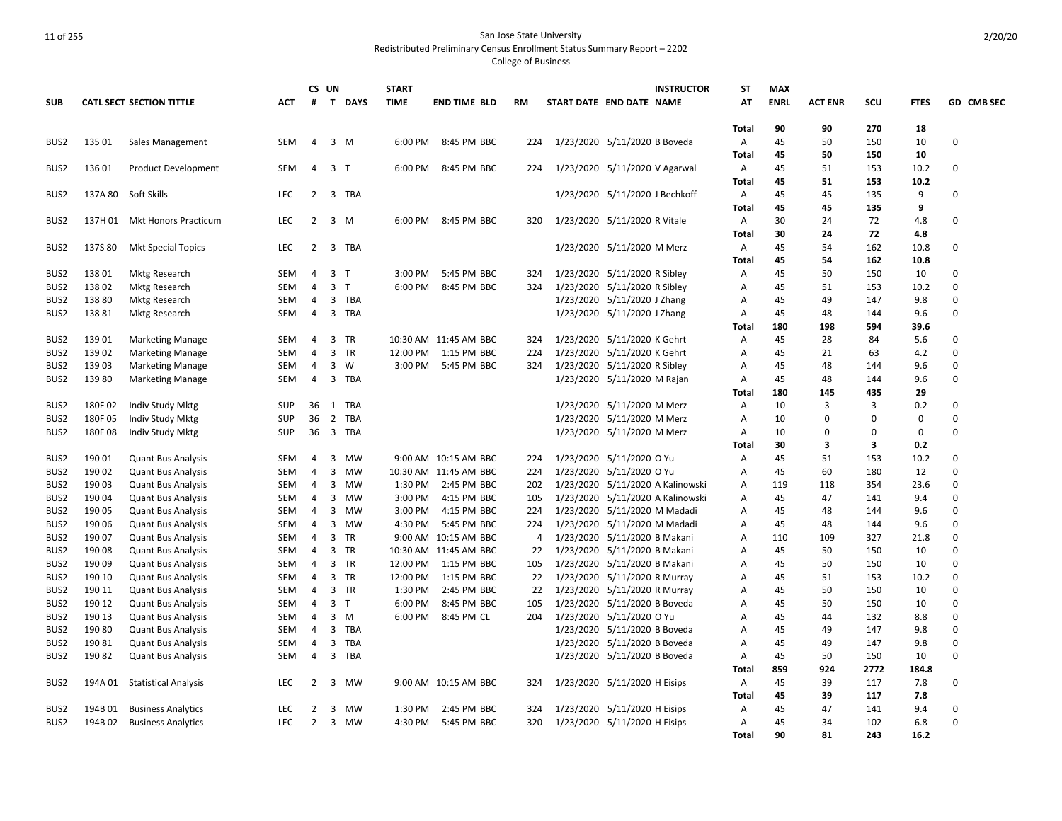|                  |         |                                 |            |                | CS UN          |          | <b>START</b> |                       |     | <b>INSTRUCTOR</b>                | <b>ST</b>      | <b>MAX</b>  |                |      |             |            |
|------------------|---------|---------------------------------|------------|----------------|----------------|----------|--------------|-----------------------|-----|----------------------------------|----------------|-------------|----------------|------|-------------|------------|
| <b>SUB</b>       |         | <b>CATL SECT SECTION TITTLE</b> | ACT        | #              |                | T DAYS   | <b>TIME</b>  | <b>END TIME BLD</b>   | RM  | START DATE END DATE NAME         | AT             | <b>ENRL</b> | <b>ACT ENR</b> | SCU  | <b>FTES</b> | GD CMB SEC |
|                  |         |                                 |            |                |                |          |              |                       |     |                                  | Total          | 90          | 90             | 270  | 18          |            |
| BUS <sub>2</sub> | 135 01  | Sales Management                | SEM        | 4              |                | $3 \, M$ | 6:00 PM      | 8:45 PM BBC           | 224 | 1/23/2020 5/11/2020 B Boveda     | Α              | 45          | 50             | 150  | 10          | $\Omega$   |
|                  |         |                                 |            |                |                |          |              |                       |     |                                  | Total          | 45          | 50             | 150  | 10          |            |
| BUS <sub>2</sub> | 13601   | <b>Product Development</b>      | SEM        | $\overline{4}$ | 3 <sub>T</sub> |          | 6:00 PM      | 8:45 PM BBC           | 224 | 1/23/2020 5/11/2020 V Agarwal    | Α              | 45          | 51             | 153  | 10.2        | $\Omega$   |
|                  |         |                                 |            |                |                |          |              |                       |     |                                  | Total          | 45          | 51             | 153  | 10.2        |            |
| BUS2             | 137A 80 | Soft Skills                     | <b>LEC</b> | 2              | 3              | TBA      |              |                       |     | 1/23/2020 5/11/2020 J Bechkoff   | Α              | 45          | 45             | 135  | 9           | $\Omega$   |
|                  |         |                                 |            |                |                |          |              |                       |     |                                  | Total          | 45          | 45             | 135  | 9           |            |
| BUS <sub>2</sub> | 137H 01 | <b>Mkt Honors Practicum</b>     | LEC        | 2              |                | 3 M      | 6:00 PM      | 8:45 PM BBC           | 320 | 1/23/2020 5/11/2020 R Vitale     | Α              | 30          | 24             | 72   | 4.8         | $\Omega$   |
|                  |         |                                 |            |                |                |          |              |                       |     |                                  | Total          | 30          | 24             | 72   | 4.8         |            |
| BUS2             | 137S 80 | <b>Mkt Special Topics</b>       | LEC        | $\overline{2}$ | 3              | TBA      |              |                       |     | 1/23/2020 5/11/2020 M Merz       | Α              | 45          | 54             | 162  | 10.8        | 0          |
|                  |         |                                 |            |                |                |          |              |                       |     |                                  | Total          | 45          | 54             | 162  | 10.8        |            |
| BUS <sub>2</sub> | 13801   | <b>Mktg Research</b>            | <b>SEM</b> | $\overline{4}$ | 3 <sub>T</sub> |          | 3:00 PM      | 5:45 PM BBC           | 324 | 1/23/2020 5/11/2020 R Sibley     | $\overline{A}$ | 45          | 50             | 150  | 10          | $\Omega$   |
| BUS <sub>2</sub> | 13802   | <b>Mktg Research</b>            | SEM        | 4              | 3 <sub>7</sub> |          | 6:00 PM      | 8:45 PM BBC           | 324 | 1/23/2020 5/11/2020 R Sibley     | A              | 45          | 51             | 153  | 10.2        | $\Omega$   |
| BUS2             | 138 80  | <b>Mktg Research</b>            | SEM        | 4              |                | 3 TBA    |              |                       |     | 1/23/2020 5/11/2020 J Zhang      | Α              | 45          | 49             | 147  | 9.8         | $\Omega$   |
| BUS <sub>2</sub> | 13881   | Mktg Research                   | SEM        | $\overline{4}$ |                | 3 TBA    |              |                       |     | 1/23/2020 5/11/2020 J Zhang      | Α              | 45          | 48             | 144  | 9.6         | $\Omega$   |
|                  |         |                                 |            |                |                |          |              |                       |     |                                  | Total          | 180         | 198            | 594  | 39.6        |            |
| BUS2             | 13901   | <b>Marketing Manage</b>         | SEM        | 4              |                | 3 TR     |              | 10:30 AM 11:45 AM BBC | 324 | 1/23/2020 5/11/2020 K Gehrt      | Α              | 45          | 28             | 84   | 5.6         | 0          |
| BUS <sub>2</sub> | 13902   | <b>Marketing Manage</b>         | <b>SEM</b> | $\overline{4}$ | $\overline{3}$ | TR       | 12:00 PM     | 1:15 PM BBC           | 224 | 1/23/2020 5/11/2020 K Gehrt      | Α              | 45          | 21             | 63   | 4.2         | $\Omega$   |
| BUS <sub>2</sub> | 13903   | <b>Marketing Manage</b>         | <b>SEM</b> | $\overline{4}$ | $\overline{3}$ | W        |              | 3:00 PM 5:45 PM BBC   | 324 | 1/23/2020 5/11/2020 R Sibley     | A              | 45          | 48             | 144  | 9.6         | $\Omega$   |
| BUS <sub>2</sub> | 13980   | <b>Marketing Manage</b>         | SEM        | 4              | $\overline{3}$ | TBA      |              |                       |     | 1/23/2020 5/11/2020 M Rajan      | A              | 45          | 48             | 144  | 9.6         | 0          |
|                  |         |                                 |            |                |                |          |              |                       |     |                                  | Total          | 180         | 145            | 435  | 29          |            |
| BUS <sub>2</sub> | 180F02  | Indiv Study Mktg                | <b>SUP</b> | 36             | 1              | TBA      |              |                       |     | 1/23/2020 5/11/2020 M Merz       | Α              | 10          | 3              | 3    | 0.2         | $\Omega$   |
| BUS <sub>2</sub> | 180F05  | Indiv Study Mktg                | SUP        | 36             |                | 2 TBA    |              |                       |     | 1/23/2020 5/11/2020 M Merz       | $\overline{A}$ | 10          | $\Omega$       | 0    | $\mathbf 0$ | $\Omega$   |
| BUS2             | 180F08  | Indiv Study Mktg                | SUP        | 36             |                | 3 TBA    |              |                       |     | 1/23/2020 5/11/2020 M Merz       | Α              | 10          | $\Omega$       | 0    | $\mathbf 0$ | 0          |
|                  |         |                                 |            |                |                |          |              |                       |     |                                  | Total          | 30          | 3              | 3    | 0.2         |            |
| BUS <sub>2</sub> | 19001   | <b>Quant Bus Analysis</b>       | <b>SEM</b> | $\overline{4}$ | 3              | MW       |              | 9:00 AM 10:15 AM BBC  | 224 | 1/23/2020 5/11/2020 O Yu         | $\overline{A}$ | 45          | 51             | 153  | 10.2        | $\Omega$   |
| BUS <sub>2</sub> | 190 02  | <b>Quant Bus Analysis</b>       | SEM        | 4              | $\overline{3}$ | MW       |              | 10:30 AM 11:45 AM BBC | 224 | 1/23/2020 5/11/2020 O Yu         | A              | 45          | 60             | 180  | 12          | $\Omega$   |
| BUS <sub>2</sub> | 19003   | <b>Quant Bus Analysis</b>       | SEM        | 4              | 3              | MW       | 1:30 PM      | 2:45 PM BBC           | 202 | 1/23/2020 5/11/2020 A Kalinowski | Α              | 119         | 118            | 354  | 23.6        | 0          |
| BUS2             | 19004   | <b>Quant Bus Analysis</b>       | SEM        | 4              |                | 3 MW     | 3:00 PM      | 4:15 PM BBC           | 105 | 1/23/2020 5/11/2020 A Kalinowski | Α              | 45          | 47             | 141  | 9.4         | $\Omega$   |
| BUS <sub>2</sub> | 190 05  | <b>Quant Bus Analysis</b>       | <b>SEM</b> | 4              | 3              | MW       | 3:00 PM      | 4:15 PM BBC           | 224 | 1/23/2020 5/11/2020 M Madadi     | A              | 45          | 48             | 144  | 9.6         | $\Omega$   |
| BUS <sub>2</sub> | 190 06  | <b>Quant Bus Analysis</b>       | SEM        | 4              |                | 3 MW     | 4:30 PM      | 5:45 PM BBC           | 224 | 1/23/2020 5/11/2020 M Madadi     | Α              | 45          | 48             | 144  | 9.6         | 0          |
| BUS <sub>2</sub> | 19007   | <b>Quant Bus Analysis</b>       | SEM        | 4              | 3              | TR       |              | 9:00 AM 10:15 AM BBC  | 4   | 1/23/2020 5/11/2020 B Makani     | Α              | 110         | 109            | 327  | 21.8        | 0          |
| BUS <sub>2</sub> | 19008   | <b>Quant Bus Analysis</b>       | SEM        | $\overline{4}$ |                | 3 TR     |              | 10:30 AM 11:45 AM BBC | 22  | 1/23/2020 5/11/2020 B Makani     | Α              | 45          | 50             | 150  | 10          | $\Omega$   |
| BUS <sub>2</sub> | 19009   | <b>Quant Bus Analysis</b>       | SEM        | 4              |                | 3 TR     | 12:00 PM     | 1:15 PM BBC           | 105 | 1/23/2020 5/11/2020 B Makani     | Α              | 45          | 50             | 150  | 10          | $\Omega$   |
| BUS <sub>2</sub> | 190 10  | <b>Quant Bus Analysis</b>       | SEM        | 4              |                | 3 TR     | 12:00 PM     | 1:15 PM BBC           | 22  | 1/23/2020 5/11/2020 R Murray     | Α              | 45          | 51             | 153  | 10.2        | 0          |
| BUS <sub>2</sub> | 190 11  | <b>Quant Bus Analysis</b>       | SEM        | 4              |                | 3 TR     | 1:30 PM      | 2:45 PM BBC           | 22  | 1/23/2020 5/11/2020 R Murray     | Α              | 45          | 50             | 150  | 10          | $\Omega$   |
| BUS <sub>2</sub> | 190 12  | <b>Quant Bus Analysis</b>       | <b>SEM</b> | $\overline{4}$ | 3 <sub>1</sub> |          | 6:00 PM      | 8:45 PM BBC           | 105 | 1/23/2020 5/11/2020 B Boveda     | Α              | 45          | 50             | 150  | 10          | $\Omega$   |
| BUS <sub>2</sub> | 190 13  | <b>Quant Bus Analysis</b>       | SEM        | 4              |                | $3 \, M$ | 6:00 PM      | 8:45 PM CL            | 204 | 1/23/2020 5/11/2020 O Yu         | Α              | 45          | 44             | 132  | 8.8         | 0          |
| BUS <sub>2</sub> | 19080   | <b>Quant Bus Analysis</b>       | SEM        | $\overline{4}$ |                | 3 TBA    |              |                       |     | 1/23/2020 5/11/2020 B Boveda     | Α              | 45          | 49             | 147  | 9.8         | $\Omega$   |
| BUS <sub>2</sub> | 19081   | <b>Quant Bus Analysis</b>       | <b>SEM</b> | 4              | 3              | TBA      |              |                       |     | 1/23/2020 5/11/2020 B Boveda     | A              | 45          | 49             | 147  | 9.8         | $\Omega$   |
| BUS <sub>2</sub> | 19082   | <b>Quant Bus Analysis</b>       | <b>SEM</b> | $\overline{4}$ |                | 3 TBA    |              |                       |     | 1/23/2020 5/11/2020 B Boveda     | Α              | 45          | 50             | 150  | 10          | $\Omega$   |
|                  |         |                                 |            |                |                |          |              |                       |     |                                  | <b>Total</b>   | 859         | 924            | 2772 | 184.8       |            |
| BUS <sub>2</sub> | 194A 01 | <b>Statistical Analysis</b>     | LEC        | $\overline{2}$ |                | 3 MW     |              | 9:00 AM 10:15 AM BBC  | 324 | 1/23/2020 5/11/2020 H Eisips     | Α              | 45          | 39             | 117  | 7.8         | $\Omega$   |
|                  |         |                                 |            |                |                |          |              |                       |     |                                  | <b>Total</b>   | 45          | 39             | 117  | 7.8         |            |
| BUS <sub>2</sub> | 194B 01 | <b>Business Analytics</b>       | LEC        | 2              |                | 3 MW     | 1:30 PM      | 2:45 PM BBC           | 324 | 1/23/2020 5/11/2020 H Eisips     | Α              | 45          | 47             | 141  | 9.4         | $\Omega$   |
| BUS2             |         | 194B 02 Business Analytics      | <b>LEC</b> | 2              |                | 3 MW     |              | 4:30 PM 5:45 PM BBC   | 320 | 1/23/2020 5/11/2020 H Eisips     | Α              | 45          | 34             | 102  | 6.8         | O          |
|                  |         |                                 |            |                |                |          |              |                       |     |                                  | <b>Total</b>   | 90          | 81             | 243  | 16.2        |            |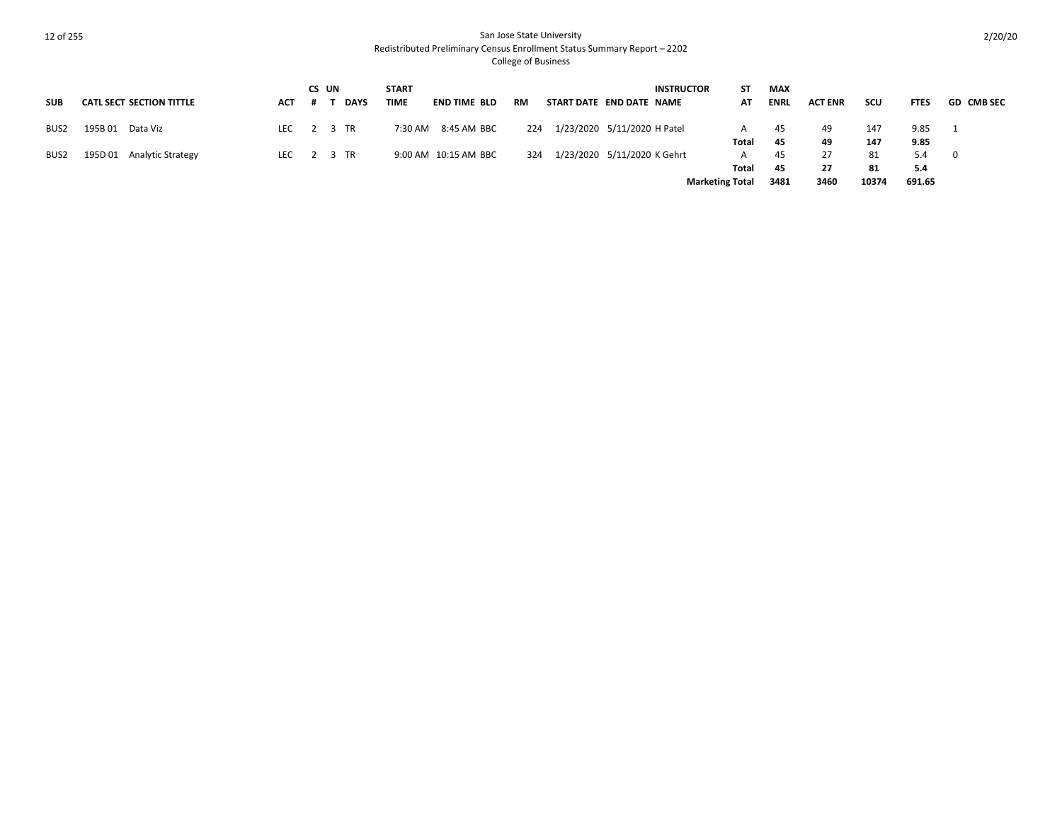|            |                                 |     | CS UN |             | <b>START</b> |                      |     |                          |                             | <b>INSTRUCTOR</b>      | SΤ    | <b>MAX</b>  |                |       |             |                   |
|------------|---------------------------------|-----|-------|-------------|--------------|----------------------|-----|--------------------------|-----------------------------|------------------------|-------|-------------|----------------|-------|-------------|-------------------|
| <b>SUB</b> | <b>CATL SECT SECTION TITTLE</b> | ACT |       | <b>DAYS</b> | <b>TIME</b>  | <b>END TIME BLD</b>  | RM  | START DATE END DATE NAME |                             |                        | AT    | <b>ENRL</b> | <b>ACT ENR</b> | scu   | <b>FTES</b> | <b>GD CMB SEC</b> |
| BUS2       | 195B01<br>Data Viz              |     |       | LEC 2 3 TR  | 7:30 AM      | 8:45 AM BBC          | 224 |                          | 1/23/2020 5/11/2020 H Patel |                        | A     | 45          | 49             | 147   | 9.85        |                   |
|            |                                 |     |       |             |              |                      |     |                          |                             |                        | Total | 45          | 49             | 147   | 9.85        |                   |
| BUS2       | 195D 01<br>Analytic Strategy    |     |       | LEC 2 3 TR  |              | 9:00 AM 10:15 AM BBC | 324 |                          | 1/23/2020 5/11/2020 K Gehrt |                        | A     | 45          | 27             | 81    | 5.4         | $\Omega$          |
|            |                                 |     |       |             |              |                      |     |                          |                             |                        | Total | 45          | -27            | 81    | 5.4         |                   |
|            |                                 |     |       |             |              |                      |     |                          |                             | <b>Marketing Total</b> |       | 3481        | 3460           | 10374 | 691.65      |                   |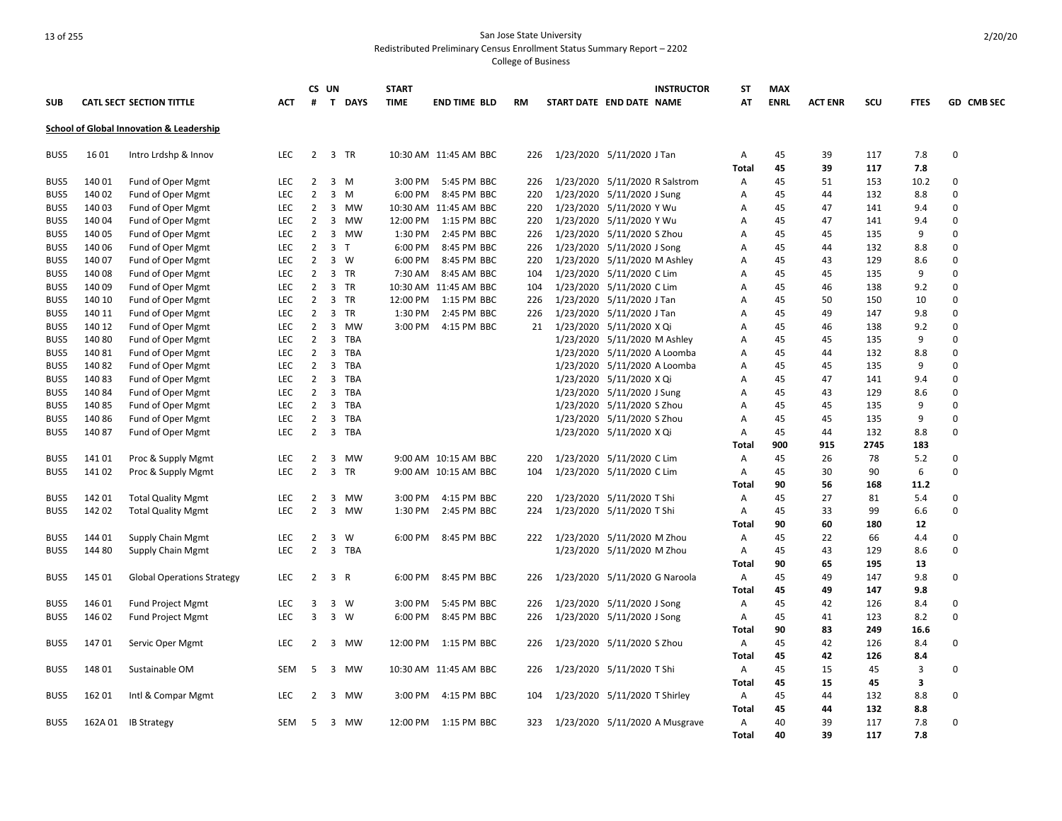College of Business

|            |        |                                                     |            |                | CS UN        |                | <b>START</b> |                       |           |                               |                              | <b>INSTRUCTOR</b>              | SΤ           | <b>MAX</b>  |                |      |             |             |
|------------|--------|-----------------------------------------------------|------------|----------------|--------------|----------------|--------------|-----------------------|-----------|-------------------------------|------------------------------|--------------------------------|--------------|-------------|----------------|------|-------------|-------------|
| <b>SUB</b> |        | <b>CATL SECT SECTION TITTLE</b>                     | ACT        | #              |              | T DAYS         | <b>TIME</b>  | END TIME BLD          | <b>RM</b> | START DATE END DATE NAME      |                              |                                | AT           | <b>ENRL</b> | <b>ACT ENR</b> | scu  | <b>FTES</b> | GD CMB SEC  |
|            |        | <b>School of Global Innovation &amp; Leadership</b> |            |                |              |                |              |                       |           |                               |                              |                                |              |             |                |      |             |             |
| BUS5       | 1601   | Intro Lrdshp & Innov                                | LEC        | 2              |              | 3 TR           |              | 10:30 AM 11:45 AM BBC | 226       | 1/23/2020 5/11/2020 J Tan     |                              |                                | Α            | 45          | 39             | 117  | 7.8         | 0           |
|            |        |                                                     |            |                |              |                |              |                       |           |                               |                              |                                | Total        | 45          | 39             | 117  | 7.8         |             |
| BUS5       | 14001  | <b>Fund of Oper Mgmt</b>                            | <b>LEC</b> | $\overline{2}$ |              | $3 \, M$       | 3:00 PM      | 5:45 PM BBC           | 226       |                               |                              | 1/23/2020 5/11/2020 R Salstrom | Α            | 45          | 51             | 153  | 10.2        | $\Omega$    |
| BUS5       | 140 02 | Fund of Oper Mgmt                                   | LEC        | $\overline{2}$ |              | $3 \, M$       | 6:00 PM      | 8:45 PM BBC           | 220       | 1/23/2020 5/11/2020 J Sung    |                              |                                | Α            | 45          | 44             | 132  | 8.8         | $\mathbf 0$ |
| BUS5       | 14003  | Fund of Oper Mgmt                                   | LEC        | $\overline{2}$ |              | 3 MW           |              | 10:30 AM 11:45 AM BBC | 220       | 1/23/2020 5/11/2020 Y Wu      |                              |                                | Α            | 45          | 47             | 141  | 9.4         | $\mathbf 0$ |
| BUS5       | 14004  | Fund of Oper Mgmt                                   | <b>LEC</b> | 2              | 3            | MW             | 12:00 PM     | 1:15 PM BBC           | 220       | 1/23/2020 5/11/2020 Y Wu      |                              |                                | Α            | 45          | 47             | 141  | 9.4         | 0           |
| BUS5       | 14005  | Fund of Oper Mgmt                                   | <b>LEC</b> | $\overline{2}$ |              | 3 MW           | 1:30 PM      | 2:45 PM BBC           | 226       | 1/23/2020 5/11/2020 S Zhou    |                              |                                | A            | 45          | 45             | 135  | 9           | $\Omega$    |
| BUS5       | 14006  | Fund of Oper Mgmt                                   | <b>LEC</b> | $\overline{2}$ |              | 3 <sub>1</sub> | 6:00 PM      | 8:45 PM BBC           | 226       | 1/23/2020 5/11/2020 J Song    |                              |                                | A            | 45          | 44             | 132  | 8.8         | $\Omega$    |
| BUS5       | 14007  | Fund of Oper Mgmt                                   | <b>LEC</b> | $\overline{2}$ |              | $3 \quad W$    | 6:00 PM      | 8:45 PM BBC           | 220       | 1/23/2020 5/11/2020 M Ashley  |                              |                                | Α            | 45          | 43             | 129  | 8.6         | $\Omega$    |
| BUS5       | 14008  | Fund of Oper Mgmt                                   | <b>LEC</b> | $\overline{2}$ |              | 3 TR           | 7:30 AM      | 8:45 AM BBC           | 104       | 1/23/2020 5/11/2020 C Lim     |                              |                                | Α            | 45          | 45             | 135  | 9           | $\mathbf 0$ |
| BUS5       | 14009  | Fund of Oper Mgmt                                   | LEC        | 2              |              | 3 TR           |              | 10:30 AM 11:45 AM BBC | 104       | 1/23/2020 5/11/2020 C Lim     |                              |                                | Α            | 45          | 46             | 138  | 9.2         | 0           |
| BUS5       | 140 10 | Fund of Oper Mgmt                                   | <b>LEC</b> | $\overline{2}$ |              | 3 TR           | 12:00 PM     | 1:15 PM BBC           | 226       | 1/23/2020 5/11/2020 J Tan     |                              |                                | Α            | 45          | 50             | 150  | 10          | $\Omega$    |
| BUS5       | 140 11 | <b>Fund of Oper Mgmt</b>                            | <b>LEC</b> | $\overline{2}$ |              | 3 TR           | 1:30 PM      | 2:45 PM BBC           | 226       | 1/23/2020 5/11/2020 J Tan     |                              |                                | Α            | 45          | 49             | 147  | 9.8         | $\Omega$    |
| BUS5       | 140 12 | Fund of Oper Mgmt                                   | <b>LEC</b> | $\overline{2}$ |              | 3 MW           | 3:00 PM      | 4:15 PM BBC           | 21        | 1/23/2020 5/11/2020 X Qi      |                              |                                | A            | 45          | 46             | 138  | 9.2         | $\Omega$    |
| BUS5       | 14080  | Fund of Oper Mgmt                                   | LEC        | $\overline{2}$ |              | 3 TBA          |              |                       |           |                               | 1/23/2020 5/11/2020 M Ashley |                                | Α            | 45          | 45             | 135  | 9           | $\Omega$    |
| BUS5       | 14081  | Fund of Oper Mgmt                                   | LEC.       | $\overline{2}$ |              | 3 TBA          |              |                       |           | 1/23/2020 5/11/2020 A Loomba  |                              |                                | Α            | 45          | 44             | 132  | 8.8         | 0           |
| BUS5       | 14082  | Fund of Oper Mgmt                                   | <b>LEC</b> | 2              |              | 3 TBA          |              |                       |           |                               | 1/23/2020 5/11/2020 A Loomba |                                | Α            | 45          | 45             | 135  | 9           | $\Omega$    |
| BUS5       | 14083  | Fund of Oper Mgmt                                   | <b>LEC</b> | $\overline{2}$ | $\mathbf{3}$ | TBA            |              |                       |           |                               | 1/23/2020 5/11/2020 X Qi     |                                | Α            | 45          | 47             | 141  | 9.4         | $\Omega$    |
| BUS5       | 14084  | Fund of Oper Mgmt                                   | <b>LEC</b> | $\overline{2}$ |              | 3 TBA          |              |                       |           |                               | 1/23/2020 5/11/2020 J Sung   |                                | Α            | 45          | 43             | 129  | 8.6         | $\Omega$    |
| BUS5       | 14085  | Fund of Oper Mgmt                                   | <b>LEC</b> | $\overline{2}$ | $\mathbf{3}$ | TBA            |              |                       |           |                               | 1/23/2020 5/11/2020 S Zhou   |                                | Α            | 45          | 45             | 135  | 9           | $\Omega$    |
| BUS5       | 14086  | Fund of Oper Mgmt                                   | <b>LEC</b> | $\overline{2}$ | $\mathbf{3}$ | TBA            |              |                       |           |                               | 1/23/2020 5/11/2020 S Zhou   |                                | Α            | 45          | 45             | 135  | 9           | $\mathbf 0$ |
| BUS5       | 14087  | Fund of Oper Mgmt                                   | LEC.       | $\overline{2}$ |              | 3 TBA          |              |                       |           |                               | 1/23/2020 5/11/2020 X Qi     |                                | Α            | 45          | 44             | 132  | 8.8         | $\Omega$    |
|            |        |                                                     |            |                |              |                |              |                       |           |                               |                              |                                | Total        | 900         | 915            | 2745 | 183         |             |
| BUS5       | 14101  | Proc & Supply Mgmt                                  | <b>LEC</b> | $\overline{2}$ |              | 3 MW           |              | 9:00 AM 10:15 AM BBC  | 220       | 1/23/2020 5/11/2020 C Lim     |                              |                                | Α            | 45          | 26             | 78   | 5.2         | 0           |
| BUS5       | 14102  | Proc & Supply Mgmt                                  | <b>LEC</b> | $\overline{2}$ |              | 3 TR           |              | 9:00 AM 10:15 AM BBC  | 104       | 1/23/2020 5/11/2020 C Lim     |                              |                                | Α            | 45          | 30             | 90   | 6           | $\Omega$    |
|            |        |                                                     |            |                |              |                |              |                       |           |                               |                              |                                | <b>Total</b> | 90          | 56             | 168  | 11.2        |             |
| BUS5       | 14201  | <b>Total Quality Mgmt</b>                           | LEC        | 2              |              | 3 MW           | 3:00 PM      | 4:15 PM BBC           | 220       | 1/23/2020 5/11/2020 T Shi     |                              |                                | Α            | 45          | 27             | 81   | 5.4         | 0           |
| BUS5       | 14202  | <b>Total Quality Mgmt</b>                           | <b>LEC</b> | $\overline{2}$ | 3            | MW             | 1:30 PM      | 2:45 PM BBC           | 224       | 1/23/2020 5/11/2020 T Shi     |                              |                                | Α            | 45          | 33             | 99   | 6.6         | 0           |
|            |        |                                                     |            |                |              |                |              |                       |           |                               |                              |                                | Total        | 90          | 60             | 180  | 12          |             |
| BUS5       | 144 01 | <b>Supply Chain Mgmt</b>                            | <b>LEC</b> | $\overline{2}$ | 3            | W              | 6:00 PM      | 8:45 PM BBC           | 222       | 1/23/2020 5/11/2020 M Zhou    |                              |                                | Α            | 45          | 22             | 66   | 4.4         | 0           |
| BUS5       | 144 80 | <b>Supply Chain Mgmt</b>                            | <b>LEC</b> | $\overline{2}$ |              | 3 TBA          |              |                       |           |                               | 1/23/2020 5/11/2020 M Zhou   |                                | Α            | 45          | 43             | 129  | 8.6         | $\Omega$    |
|            |        |                                                     |            |                |              |                |              |                       |           |                               |                              |                                | Total        | 90          | 65             | 195  | 13          |             |
| BUS5       | 145 01 | <b>Global Operations Strategy</b>                   | <b>LEC</b> | $\overline{2}$ | 3 R          |                | 6:00 PM      | 8:45 PM BBC           | 226       | 1/23/2020 5/11/2020 G Naroola |                              |                                | Α            | 45          | 49             | 147  | 9.8         | $\Omega$    |
|            |        |                                                     |            |                |              |                |              |                       |           |                               |                              |                                | Total        | 45          | 49             | 147  | 9.8         |             |
| BUS5       | 146 01 | <b>Fund Project Mgmt</b>                            | <b>LEC</b> | 3              |              | $3 \quad W$    | 3:00 PM      | 5:45 PM BBC           | 226       | 1/23/2020 5/11/2020 J Song    |                              |                                | Α            | 45          | 42             | 126  | 8.4         | 0           |
| BUS5       | 146 02 | <b>Fund Project Mgmt</b>                            | LEC.       | 3              |              | $3 \quad W$    | 6:00 PM      | 8:45 PM BBC           | 226       | 1/23/2020 5/11/2020 J Song    |                              |                                | Α            | 45          | 41             | 123  | 8.2         | $\Omega$    |
|            |        |                                                     |            |                |              |                |              |                       |           |                               |                              |                                | Total        | 90          | 83             | 249  | 16.6        |             |
| BUS5       | 14701  | Servic Oper Mgmt                                    | <b>LEC</b> | 2              |              | 3 MW           | 12:00 PM     | 1:15 PM BBC           | 226       | 1/23/2020 5/11/2020 S Zhou    |                              |                                | Α            | 45          | 42             | 126  | 8.4         | 0           |
|            |        |                                                     |            |                |              |                |              |                       |           |                               |                              |                                | Total        | 45          | 42             | 126  | 8.4         |             |
| BUS5       | 14801  | Sustainable OM                                      | <b>SEM</b> | 5              |              | 3 MW           |              | 10:30 AM 11:45 AM BBC | 226       | 1/23/2020 5/11/2020 T Shi     |                              |                                | Α            | 45          | 15             | 45   | 3           | 0           |
|            |        |                                                     |            |                |              |                |              |                       |           |                               |                              |                                | Total        | 45          | 15             | 45   | 3           |             |
| BUS5       | 162 01 | Intl & Compar Mgmt                                  | LEC        | $\overline{2}$ |              | 3 MW           | 3:00 PM      | 4:15 PM BBC           | 104       | 1/23/2020 5/11/2020 T Shirley |                              |                                | Α            | 45          | 44             | 132  | 8.8         | 0           |
|            |        |                                                     |            |                |              |                |              |                       |           |                               |                              |                                | Total        | 45          | 44             | 132  | 8.8         |             |
| BUS5       |        | 162A 01 IB Strategy                                 | SEM        | 5              |              | 3 MW           | 12:00 PM     | 1:15 PM BBC           | 323       |                               |                              | 1/23/2020 5/11/2020 A Musgrave | Α            | 40          | 39             | 117  | 7.8         | $\Omega$    |
|            |        |                                                     |            |                |              |                |              |                       |           |                               |                              |                                | <b>Total</b> | 40          | 39             | 117  | 7.8         |             |

2/20/20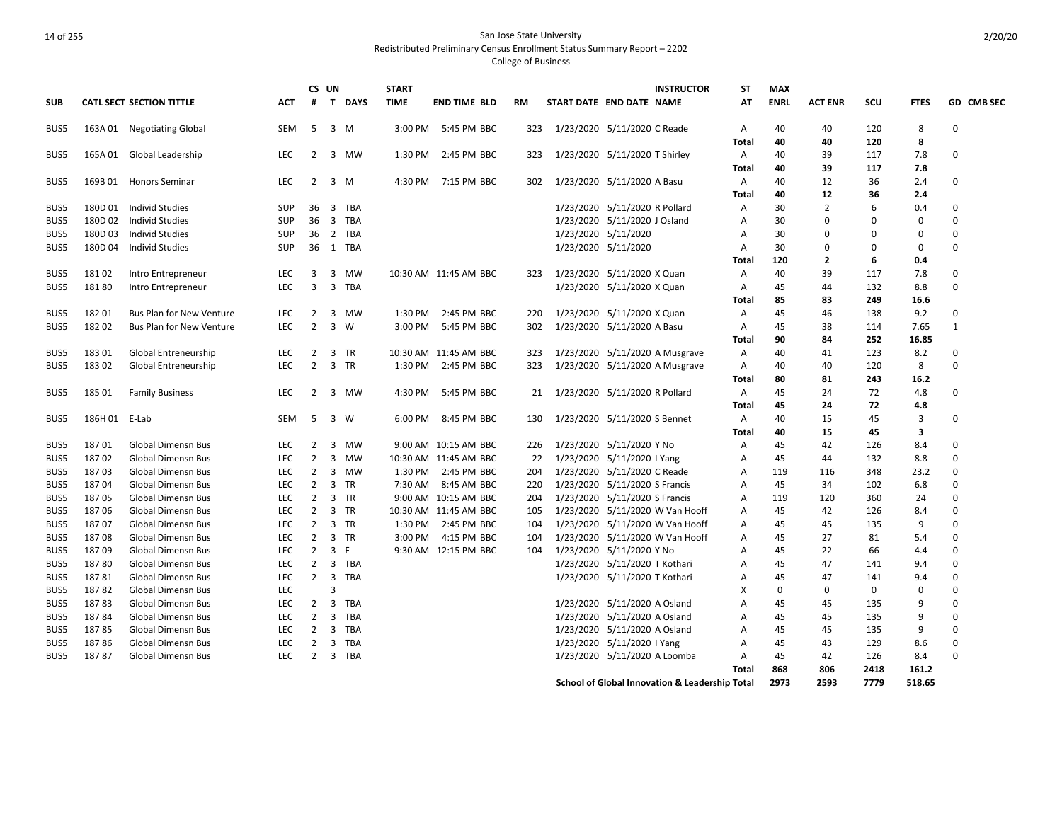2/20/20

|            |               |                                 |            |                | CS UN                   |        | <b>START</b> |                       |     |                               |                               | <b>INSTRUCTOR</b>                                         | ST    | <b>MAX</b>  |                |             |             |              |
|------------|---------------|---------------------------------|------------|----------------|-------------------------|--------|--------------|-----------------------|-----|-------------------------------|-------------------------------|-----------------------------------------------------------|-------|-------------|----------------|-------------|-------------|--------------|
| <b>SUB</b> |               | <b>CATL SECT SECTION TITTLE</b> | ACT        | #              |                         | T DAYS | <b>TIME</b>  | <b>END TIME BLD</b>   | RM  | START DATE END DATE NAME      |                               |                                                           | AT    | <b>ENRL</b> | <b>ACT ENR</b> | SCU         | <b>FTES</b> | GD CMB SEC   |
| BUS5       |               | 163A 01 Negotiating Global      | SEM        | - 5            |                         | 3 M    |              | 3:00 PM 5:45 PM BBC   | 323 | 1/23/2020 5/11/2020 C Reade   |                               |                                                           | A     | 40          | 40             | 120         | 8           | 0            |
|            |               |                                 |            |                |                         |        |              |                       |     |                               |                               |                                                           | Total | 40          | 40             | 120         | 8           |              |
| BUS5       |               | 165A 01 Global Leadership       | <b>LEC</b> | 2              | 3                       | MW     | 1:30 PM      | 2:45 PM BBC           | 323 | 1/23/2020 5/11/2020 T Shirley |                               |                                                           | Α     | 40          | 39             | 117         | 7.8         | $\Omega$     |
|            |               |                                 |            |                |                         |        |              |                       |     |                               |                               |                                                           | Total | 40          | 39             | 117         | 7.8         |              |
| BUS5       | 169B 01       | <b>Honors Seminar</b>           | <b>LEC</b> | $\overline{2}$ |                         | 3 M    | 4:30 PM      | 7:15 PM BBC           | 302 | 1/23/2020 5/11/2020 A Basu    |                               |                                                           | Α     | 40          | 12             | 36          | 2.4         | $\Omega$     |
|            |               |                                 |            |                |                         |        |              |                       |     |                               |                               |                                                           | Total | 40          | 12             | 36          | 2.4         |              |
| BUS5       |               | 180D 01 Individ Studies         | <b>SUP</b> | 36             |                         | 3 TBA  |              |                       |     |                               | 1/23/2020 5/11/2020 R Pollard |                                                           | Α     | 30          | $\overline{2}$ | 6           | 0.4         | 0            |
| BUS5       | 180D 02       | <b>Individ Studies</b>          | <b>SUP</b> | 36             |                         | 3 TBA  |              |                       |     |                               | 1/23/2020 5/11/2020 J Osland  |                                                           | A     | 30          | $\Omega$       | 0           | $\mathbf 0$ | $\Omega$     |
| BUS5       | 180D03        | <b>Individ Studies</b>          | <b>SUP</b> | 36             |                         | 2 TBA  |              |                       |     |                               | 1/23/2020 5/11/2020           |                                                           | Α     | 30          | 0              | 0           | $\mathbf 0$ | 0            |
| BUS5       | 180D 04       | <b>Individ Studies</b>          | <b>SUP</b> | 36             |                         | 1 TBA  |              |                       |     |                               | 1/23/2020 5/11/2020           |                                                           | Α     | 30          | 0              | $\Omega$    | $\mathbf 0$ | $\Omega$     |
|            |               |                                 |            |                |                         |        |              |                       |     |                               |                               |                                                           | Total | 120         | 2              | 6           | 0.4         |              |
| BUS5       | 18102         | Intro Entrepreneur              | LEC        | 3              |                         | 3 MW   |              | 10:30 AM 11:45 AM BBC | 323 | 1/23/2020 5/11/2020 X Quan    |                               |                                                           | Α     | 40          | 39             | 117         | 7.8         | 0            |
| BUS5       | 18180         | Intro Entrepreneur              | LEC        | 3              |                         | 3 TBA  |              |                       |     |                               | 1/23/2020 5/11/2020 X Quan    |                                                           | Α     | 45          | 44             | 132         | 8.8         | $\Omega$     |
|            |               |                                 |            |                |                         |        |              |                       |     |                               |                               |                                                           | Total | 85          | 83             | 249         | 16.6        |              |
| BUS5       | 18201         | <b>Bus Plan for New Venture</b> | LEC        | $\overline{2}$ |                         | 3 MW   | 1:30 PM      | 2:45 PM BBC           | 220 |                               | 1/23/2020 5/11/2020 X Quan    |                                                           | Α     | 45          | 46             | 138         | 9.2         | $\Omega$     |
| BUS5       | 18202         | <b>Bus Plan for New Venture</b> | <b>LEC</b> | $\overline{2}$ |                         | 3 W    | 3:00 PM      | 5:45 PM BBC           | 302 | 1/23/2020 5/11/2020 A Basu    |                               |                                                           | Α     | 45          | 38             | 114         | 7.65        | $\mathbf{1}$ |
|            |               |                                 |            |                |                         |        |              |                       |     |                               |                               |                                                           | Total | 90          | 84             | 252         | 16.85       |              |
| BUS5       | 18301         | Global Entreneurship            | <b>LEC</b> | $\overline{2}$ |                         | 3 TR   |              | 10:30 AM 11:45 AM BBC | 323 |                               |                               | 1/23/2020 5/11/2020 A Musgrave                            | Α     | 40          | 41             | 123         | 8.2         | $\Omega$     |
| BUS5       | 18302         | <b>Global Entreneurship</b>     | <b>LEC</b> | $\overline{2}$ |                         | 3 TR   | 1:30 PM      | 2:45 PM BBC           | 323 |                               |                               | 1/23/2020 5/11/2020 A Musgrave                            | Α     | 40          | 40             | 120         | 8           | $\Omega$     |
|            |               |                                 |            |                |                         |        |              |                       |     |                               |                               |                                                           | Total | 80          | 81             | 243         | 16.2        |              |
| BUS5       | 185 01        | <b>Family Business</b>          | LEC        | 2              |                         | 3 MW   | 4:30 PM      | 5:45 PM BBC           | 21  | 1/23/2020 5/11/2020 R Pollard |                               |                                                           | Α     | 45          | 24             | 72          | 4.8         | 0            |
|            |               |                                 |            |                |                         |        |              |                       |     |                               |                               |                                                           | Total | 45          | 24             | 72          | 4.8         |              |
| BUS5       | 186H 01 E-Lab |                                 | <b>SEM</b> | -5             |                         | 3 W    | 6:00 PM      | 8:45 PM BBC           | 130 |                               | 1/23/2020 5/11/2020 S Bennet  |                                                           | Α     | 40          | 15             | 45          | 3           | 0            |
|            |               |                                 |            |                |                         |        |              |                       |     |                               |                               |                                                           | Total | 40          | 15             | 45          | 3           |              |
| BUS5       | 18701         | <b>Global Dimensn Bus</b>       | LEC        | 2              | $\overline{3}$          | MW     |              | 9:00 AM 10:15 AM BBC  | 226 | 1/23/2020 5/11/2020 Y No      |                               |                                                           | Α     | 45          | 42             | 126         | 8.4         | $\Omega$     |
| BUS5       | 18702         | <b>Global Dimensn Bus</b>       | LEC        | $\overline{2}$ |                         | 3 MW   |              | 10:30 AM 11:45 AM BBC | 22  | 1/23/2020 5/11/2020 I Yang    |                               |                                                           | Α     | 45          | 44             | 132         | 8.8         | $\Omega$     |
| BUS5       | 18703         | <b>Global Dimensn Bus</b>       | <b>LEC</b> | 2              |                         | 3 MW   | 1:30 PM      | 2:45 PM BBC           | 204 | 1/23/2020 5/11/2020 C Reade   |                               |                                                           | Α     | 119         | 116            | 348         | 23.2        | $\Omega$     |
| BUS5       | 18704         | <b>Global Dimensn Bus</b>       | LEC        | $\overline{2}$ |                         | 3 TR   | 7:30 AM      | 8:45 AM BBC           | 220 | 1/23/2020 5/11/2020 S Francis |                               |                                                           | A     | 45          | 34             | 102         | 6.8         | $\Omega$     |
| BUS5       | 18705         | <b>Global Dimensn Bus</b>       | LEC        | $\overline{2}$ |                         | 3 TR   |              | 9:00 AM 10:15 AM BBC  | 204 |                               | 1/23/2020 5/11/2020 S Francis |                                                           | Α     | 119         | 120            | 360         | 24          | $\Omega$     |
| BUS5       | 18706         | <b>Global Dimensn Bus</b>       | LEC        | $\overline{2}$ |                         | 3 TR   |              | 10:30 AM 11:45 AM BBC | 105 |                               |                               | 1/23/2020 5/11/2020 W Van Hooff                           | A     | 45          | 42             | 126         | 8.4         | $\Omega$     |
| BUS5       | 18707         | <b>Global Dimensn Bus</b>       | LEC        | $\overline{2}$ |                         | 3 TR   | 1:30 PM      | 2:45 PM BBC           | 104 |                               |                               | 1/23/2020 5/11/2020 W Van Hooff                           | Α     | 45          | 45             | 135         | 9           | $\Omega$     |
| BUS5       | 18708         | Global Dimensn Bus              | LEC        | $\overline{2}$ |                         | 3 TR   | 3:00 PM      | 4:15 PM BBC           | 104 |                               |                               | 1/23/2020 5/11/2020 W Van Hooff                           | Α     | 45          | 27             | 81          | 5.4         | $\Omega$     |
| BUS5       | 18709         | Global Dimensn Bus              | <b>LEC</b> | $\overline{2}$ |                         | 3 F    |              | 9:30 AM 12:15 PM BBC  | 104 | 1/23/2020 5/11/2020 Y No      |                               |                                                           | Α     | 45          | 22             | 66          | 4.4         | $\Omega$     |
| BUS5       | 18780         | <b>Global Dimensn Bus</b>       | LEC        | $\overline{2}$ |                         | 3 TBA  |              |                       |     |                               | 1/23/2020 5/11/2020 T Kothari |                                                           | Α     | 45          | 47             | 141         | 9.4         | $\Omega$     |
| BUS5       | 18781         | <b>Global Dimensn Bus</b>       | <b>LEC</b> | $2^{\circ}$    |                         | 3 TBA  |              |                       |     |                               | 1/23/2020 5/11/2020 T Kothari |                                                           | Α     | 45          | 47             | 141         | 9.4         | $\Omega$     |
| BUS5       | 18782         | <b>Global Dimensn Bus</b>       | LEC        |                | 3                       |        |              |                       |     |                               |                               |                                                           | X     | 0           | $\Omega$       | $\mathbf 0$ | $\Omega$    | $\Omega$     |
| BUS5       | 18783         | <b>Global Dimensn Bus</b>       | LEC        | $\overline{2}$ |                         | 3 TBA  |              |                       |     |                               | 1/23/2020 5/11/2020 A Osland  |                                                           | Α     | 45          | 45             | 135         | 9           | $\Omega$     |
| BUS5       | 18784         | <b>Global Dimensn Bus</b>       | <b>LEC</b> | $\overline{2}$ |                         | 3 TBA  |              |                       |     |                               | 1/23/2020 5/11/2020 A Osland  |                                                           | Α     | 45          | 45             | 135         | 9           | $\Omega$     |
| BUS5       | 18785         | <b>Global Dimensn Bus</b>       | LEC        | $\overline{2}$ | $\overline{\mathbf{3}}$ | TBA    |              |                       |     |                               | 1/23/2020 5/11/2020 A Osland  |                                                           | A     | 45          | 45             | 135         | 9           | $\Omega$     |
| BUS5       | 18786         | <b>Global Dimensn Bus</b>       | LEC        | 2              |                         | 3 TBA  |              |                       |     |                               | 1/23/2020 5/11/2020 I Yang    |                                                           | Α     | 45          | 43             | 129         | 8.6         | $\Omega$     |
| BUS5       | 18787         | <b>Global Dimensn Bus</b>       | <b>LEC</b> | $\overline{2}$ |                         | 3 TBA  |              |                       |     |                               | 1/23/2020 5/11/2020 A Loomba  |                                                           | Α     | 45          | 42             | 126         | 8.4         | $\Omega$     |
|            |               |                                 |            |                |                         |        |              |                       |     |                               |                               |                                                           | Total | 868         | 806            | 2418        | 161.2       |              |
|            |               |                                 |            |                |                         |        |              |                       |     |                               |                               | <b>School of Global Innovation &amp; Leadership Total</b> |       | 2973        | 2593           | 7779        | 518.65      |              |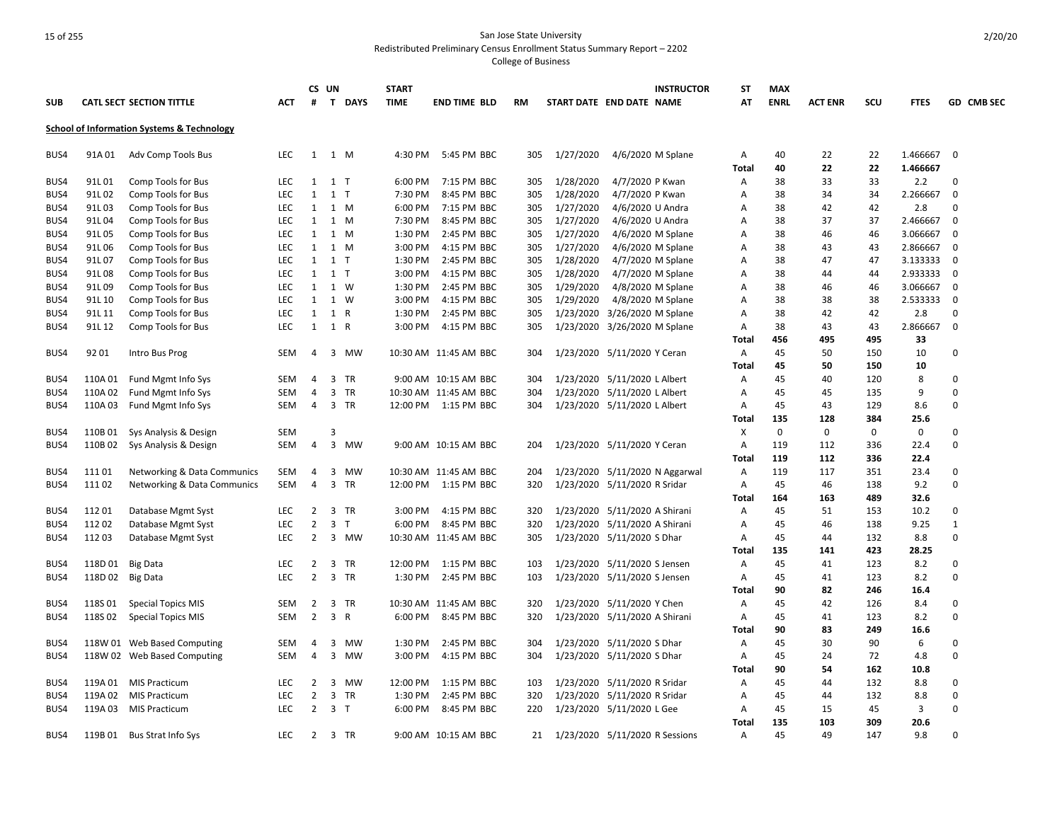|            |         |                                                       |            |                | CS UN          |                | <b>START</b> |                       |           |           | <b>INSTRUCTOR</b>              | ST           | <b>MAX</b>  |                |             |             |                   |
|------------|---------|-------------------------------------------------------|------------|----------------|----------------|----------------|--------------|-----------------------|-----------|-----------|--------------------------------|--------------|-------------|----------------|-------------|-------------|-------------------|
| <b>SUB</b> |         | <b>CATL SECT SECTION TITTLE</b>                       | ACT        | #              |                | T DAYS         | <b>TIME</b>  | <b>END TIME BLD</b>   | <b>RM</b> |           | START DATE END DATE NAME       | AT           | <b>ENRL</b> | <b>ACT ENR</b> | scu         | <b>FTES</b> | <b>GD CMB SEC</b> |
|            |         | <b>School of Information Systems &amp; Technology</b> |            |                |                |                |              |                       |           |           |                                |              |             |                |             |             |                   |
| BUS4       | 91A 01  | Adv Comp Tools Bus                                    | LEC        | $\mathbf{1}$   |                | 1 M            | 4:30 PM      | 5:45 PM BBC           | 305       | 1/27/2020 | 4/6/2020 M Splane              | Α            | 40          | 22             | 22          | 1.466667    | 0                 |
|            |         |                                                       |            |                |                |                |              |                       |           |           |                                | Total        | 40          | 22             | 22          | 1.466667    |                   |
| BUS4       | 91L01   | Comp Tools for Bus                                    | <b>LEC</b> | $\mathbf{1}$   | 1 <sub>T</sub> |                | 6:00 PM      | 7:15 PM BBC           | 305       | 1/28/2020 | 4/7/2020 P Kwan                | Α            | 38          | 33             | 33          | 2.2         | $\Omega$          |
| BUS4       | 91L02   | Comp Tools for Bus                                    | <b>LEC</b> | $\mathbf{1}$   | $1$ T          |                | 7:30 PM      | 8:45 PM BBC           | 305       | 1/28/2020 | 4/7/2020 P Kwan                | Α            | 38          | 34             | 34          | 2.266667    | 0                 |
| BUS4       | 91L03   | Comp Tools for Bus                                    | <b>LEC</b> | 1              |                | 1 M            | 6:00 PM      | 7:15 PM BBC           | 305       | 1/27/2020 | 4/6/2020 U Andra               | Α            | 38          | 42             | 42          | 2.8         | $\Omega$          |
| BUS4       | 91L04   | Comp Tools for Bus                                    | LEC        | 1              |                | 1 M            | 7:30 PM      | 8:45 PM BBC           | 305       | 1/27/2020 | 4/6/2020 U Andra               | Α            | 38          | 37             | 37          | 2.466667    | $\mathbf 0$       |
| BUS4       | 91L05   | Comp Tools for Bus                                    | <b>LEC</b> | 1              |                | 1 M            | 1:30 PM      | 2:45 PM BBC           | 305       | 1/27/2020 | 4/6/2020 M Splane              | Α            | 38          | 46             | 46          | 3.066667    | $\mathbf 0$       |
| BUS4       | 91L06   | Comp Tools for Bus                                    | LEC        | $\mathbf{1}$   |                | 1 M            | 3:00 PM      | 4:15 PM BBC           | 305       | 1/27/2020 | 4/6/2020 M Splane              | Α            | 38          | 43             | 43          | 2.866667    | $\mathbf 0$       |
| BUS4       | 91L07   | Comp Tools for Bus                                    | <b>LEC</b> | 1              | 1 <sub>T</sub> |                | 1:30 PM      | 2:45 PM BBC           | 305       | 1/28/2020 | 4/7/2020 M Splane              | Α            | 38          | 47             | 47          | 3.133333    | 0                 |
| BUS4       | 91L08   | Comp Tools for Bus                                    | <b>LEC</b> | 1              | $1$ T          |                | 3:00 PM      | 4:15 PM BBC           | 305       | 1/28/2020 | 4/7/2020 M Splane              | Α            | 38          | 44             | 44          | 2.933333    | 0                 |
| BUS4       | 91L09   | Comp Tools for Bus                                    | LEC        | $\mathbf{1}$   |                | $1 \quad W$    | 1:30 PM      | 2:45 PM BBC           | 305       | 1/29/2020 | 4/8/2020 M Splane              | Α            | 38          | 46             | 46          | 3.066667    | 0                 |
| BUS4       | 91L 10  | Comp Tools for Bus                                    | <b>LEC</b> | 1              |                | 1 W            | 3:00 PM      | 4:15 PM BBC           | 305       | 1/29/2020 | 4/8/2020 M Splane              | Α            | 38          | 38             | 38          | 2.533333    | 0                 |
| BUS4       | 91L 11  | Comp Tools for Bus                                    | LEC        | $\mathbf{1}$   |                | 1 R            | 1:30 PM      | 2:45 PM BBC           | 305       | 1/23/2020 | 3/26/2020 M Splane             | Α            | 38          | 42             | 42          | 2.8         | $\mathbf 0$       |
| BUS4       | 91L 12  | Comp Tools for Bus                                    | <b>LEC</b> | 1              | 1 R            |                | 3:00 PM      | 4:15 PM BBC           | 305       |           | 1/23/2020 3/26/2020 M Splane   | Α            | 38          | 43             | 43          | 2.866667    | 0                 |
|            |         |                                                       |            |                |                |                |              |                       |           |           |                                | Total        | 456         | 495            | 495         | 33          |                   |
| BUS4       | 92 01   | Intro Bus Prog                                        | SEM        | 4              |                | 3 MW           |              | 10:30 AM 11:45 AM BBC | 304       |           | 1/23/2020 5/11/2020 Y Ceran    | Α            | 45<br>45    | 50<br>50       | 150<br>150  | 10<br>10    | 0                 |
| BUS4       | 110A 01 | Fund Mgmt Info Sys                                    | SEM        | $\overline{4}$ |                | 3 TR           |              | 9:00 AM 10:15 AM BBC  | 304       |           | 1/23/2020 5/11/2020 L Albert   | Total<br>Α   | 45          | 40             | 120         | 8           | 0                 |
| BUS4       | 110A 02 | Fund Mgmt Info Sys                                    | <b>SEM</b> | 4              |                | 3 TR           |              | 10:30 AM 11:45 AM BBC | 304       |           | 1/23/2020 5/11/2020 L Albert   | Α            | 45          | 45             | 135         | 9           | $\Omega$          |
| BUS4       | 110A 03 | Fund Mgmt Info Sys                                    | SEM        | $\overline{4}$ |                | 3 TR           |              | 12:00 PM 1:15 PM BBC  | 304       |           | 1/23/2020 5/11/2020 L Albert   | Α            | 45          | 43             | 129         | 8.6         | 0                 |
|            |         |                                                       |            |                |                |                |              |                       |           |           |                                | Total        | 135         | 128            | 384         | 25.6        |                   |
| BUS4       | 110B01  | Sys Analysis & Design                                 | <b>SEM</b> |                | 3              |                |              |                       |           |           |                                | х            | $\mathbf 0$ | $\mathbf 0$    | $\mathbf 0$ | $\mathbf 0$ | $\Omega$          |
| BUS4       | 110B02  | Sys Analysis & Design                                 | SEM        | $\overline{4}$ |                | 3 MW           |              | 9:00 AM 10:15 AM BBC  | 204       |           | 1/23/2020 5/11/2020 Y Ceran    | Α            | 119         | 112            | 336         | 22.4        | $\Omega$          |
|            |         |                                                       |            |                |                |                |              |                       |           |           |                                | <b>Total</b> | 119         | 112            | 336         | 22.4        |                   |
| BUS4       | 11101   | Networking & Data Communics                           | SEM        | 4              |                | 3 MW           |              | 10:30 AM 11:45 AM BBC | 204       |           | 1/23/2020 5/11/2020 N Aggarwal | Α            | 119         | 117            | 351         | 23.4        | 0                 |
| BUS4       | 11102   | <b>Networking &amp; Data Communics</b>                | <b>SEM</b> | 4              |                | 3 TR           |              | 12:00 PM 1:15 PM BBC  | 320       |           | 1/23/2020 5/11/2020 R Sridar   | Α            | 45          | 46             | 138         | 9.2         | $\Omega$          |
|            |         |                                                       |            |                |                |                |              |                       |           |           |                                | Total        | 164         | 163            | 489         | 32.6        |                   |
| BUS4       | 11201   | Database Mgmt Syst                                    | <b>LEC</b> | $\overline{2}$ |                | 3 TR           | 3:00 PM      | 4:15 PM BBC           | 320       |           | 1/23/2020 5/11/2020 A Shirani  | Α            | 45          | 51             | 153         | 10.2        | $\Omega$          |
| BUS4       | 11202   | Database Mgmt Syst                                    | LEC        | $\overline{2}$ |                | 3 <sub>1</sub> | 6:00 PM      | 8:45 PM BBC           | 320       |           | 1/23/2020 5/11/2020 A Shirani  | A            | 45          | 46             | 138         | 9.25        | 1                 |
| BUS4       | 11203   | Database Mgmt Syst                                    | <b>LEC</b> | $\overline{2}$ |                | 3 MW           |              | 10:30 AM 11:45 AM BBC | 305       |           | 1/23/2020 5/11/2020 S Dhar     | Α            | 45          | 44             | 132         | 8.8         | $\mathbf 0$       |
|            |         |                                                       |            |                |                |                |              |                       |           |           |                                | Total        | 135         | 141            | 423         | 28.25       |                   |
| BUS4       | 118D01  | <b>Big Data</b>                                       | LEC        | $\overline{2}$ |                | 3 TR           | 12:00 PM     | 1:15 PM BBC           | 103       |           | 1/23/2020 5/11/2020 S Jensen   | Α            | 45          | 41             | 123         | 8.2         | $\mathbf 0$       |
| BUS4       | 118D02  | <b>Big Data</b>                                       | LEC        | $\overline{2}$ |                | 3 TR           | 1:30 PM      | 2:45 PM BBC           | 103       |           | 1/23/2020 5/11/2020 S Jensen   | Α            | 45          | 41             | 123         | 8.2         | $\mathbf 0$       |
|            |         |                                                       |            |                |                |                |              |                       |           |           |                                | Total        | 90          | 82             | 246         | 16.4        |                   |
| BUS4       | 118S 01 | <b>Special Topics MIS</b>                             | SEM        | 2              |                | 3 TR           |              | 10:30 AM 11:45 AM BBC | 320       |           | 1/23/2020 5/11/2020 Y Chen     | Α            | 45          | 42             | 126         | 8.4         | 0                 |
| BUS4       | 118S02  | <b>Special Topics MIS</b>                             | <b>SEM</b> | $\overline{2}$ |                | 3 R            | 6:00 PM      | 8:45 PM BBC           | 320       |           | 1/23/2020 5/11/2020 A Shirani  | Α            | 45          | 41             | 123         | 8.2         | $\Omega$          |
|            |         |                                                       |            |                |                |                |              |                       |           |           |                                | Total        | 90          | 83             | 249         | 16.6        |                   |
| BUS4       |         | 118W 01 Web Based Computing                           | <b>SEM</b> | 4              |                | 3 MW           | 1:30 PM      | 2:45 PM BBC           | 304       |           | 1/23/2020 5/11/2020 S Dhar     | Α            | 45          | 30             | 90          | 6           | 0                 |
| BUS4       |         | 118W 02 Web Based Computing                           | SEM        | $\overline{4}$ |                | 3 MW           | 3:00 PM      | 4:15 PM BBC           | 304       |           | 1/23/2020 5/11/2020 S Dhar     | Α            | 45          | 24             | 72          | 4.8         | $\mathbf 0$       |
|            |         |                                                       |            |                |                |                |              |                       |           |           |                                | Total        | 90          | 54             | 162         | 10.8        |                   |
| BUS4       | 119A 01 | <b>MIS Practicum</b>                                  | LEC        | $\overline{2}$ |                | 3 MW           | 12:00 PM     | 1:15 PM BBC           | 103       |           | 1/23/2020 5/11/2020 R Sridar   | Α            | 45          | 44             | 132         | 8.8         | 0                 |
| BUS4       | 119A 02 | <b>MIS Practicum</b>                                  | LEC        | $\overline{2}$ | $\overline{3}$ | TR             | 1:30 PM      | 2:45 PM BBC           | 320       |           | 1/23/2020 5/11/2020 R Sridar   | Α            | 45          | 44             | 132         | 8.8         | 0                 |
| BUS4       | 119A 03 | <b>MIS Practicum</b>                                  | <b>LEC</b> | 2              |                | 3 <sub>1</sub> | 6:00 PM      | 8:45 PM BBC           | 220       |           | 1/23/2020 5/11/2020 L Gee      | Α            | 45          | 15             | 45          | 3           | $\Omega$          |
|            |         |                                                       |            |                |                |                |              |                       |           |           |                                | <b>Total</b> | 135         | 103            | 309         | 20.6        |                   |
| BUS4       |         | 119B 01 Bus Strat Info Sys                            | <b>LEC</b> | 2              |                | 3 TR           |              | 9:00 AM 10:15 AM BBC  | 21        |           | 1/23/2020 5/11/2020 R Sessions | Α            | 45          | 49             | 147         | 9.8         | $\Omega$          |
|            |         |                                                       |            |                |                |                |              |                       |           |           |                                |              |             |                |             |             |                   |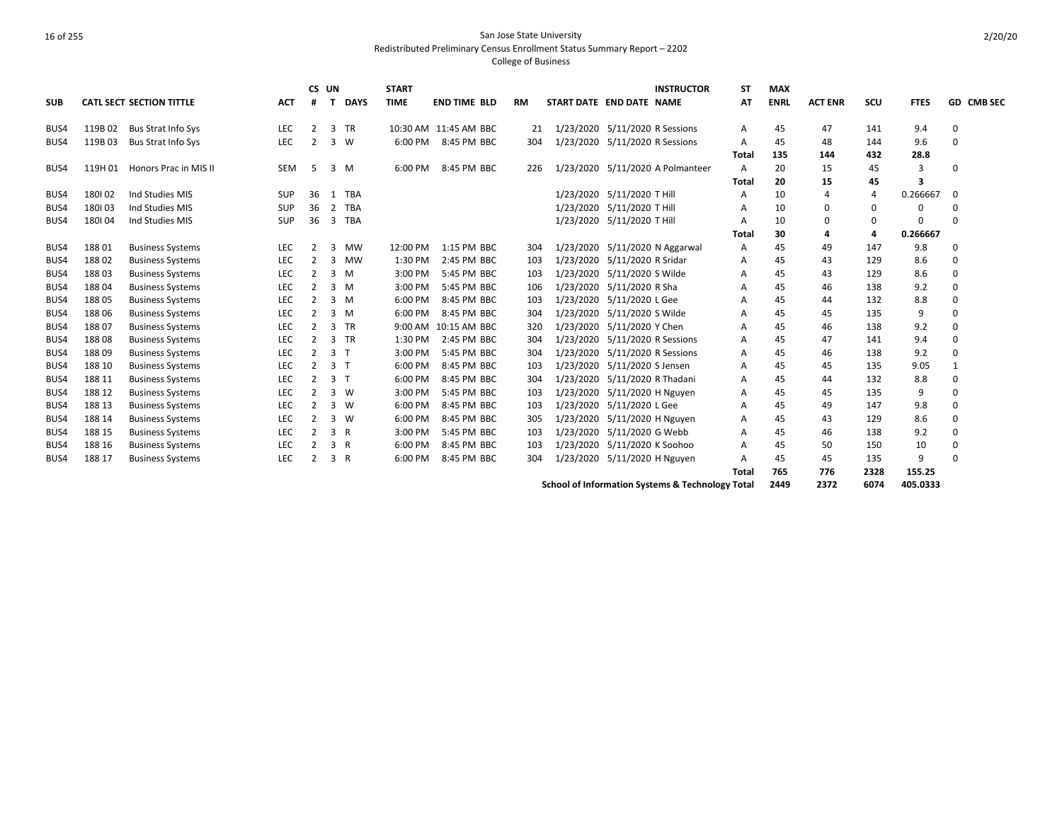|            |        |                                 |            | CS UN          |                |                | <b>START</b> |                       |           |                                | <b>INSTRUCTOR</b>                                | <b>ST</b>      | <b>MAX</b>  |                |      |             |            |
|------------|--------|---------------------------------|------------|----------------|----------------|----------------|--------------|-----------------------|-----------|--------------------------------|--------------------------------------------------|----------------|-------------|----------------|------|-------------|------------|
| <b>SUB</b> |        | <b>CATL SECT SECTION TITTLE</b> | <b>ACT</b> | #              | $\mathbf{T}$   | <b>DAYS</b>    | <b>TIME</b>  | <b>END TIME BLD</b>   | <b>RM</b> | START DATE END DATE NAME       |                                                  | AT             | <b>ENRL</b> | <b>ACT ENR</b> | scu  | <b>FTES</b> | GD CMB SEC |
| BUS4       | 119B02 | Bus Strat Info Sys              | LEC        | 2              |                | 3 TR           |              | 10:30 AM 11:45 AM BBC | 21        | 1/23/2020 5/11/2020 R Sessions |                                                  | Α              | 45          | 47             | 141  | 9.4         | 0          |
| BUS4       | 119B03 | Bus Strat Info Sys              | LEC        | 2              |                | $3 \quad W$    | 6:00 PM      | 8:45 PM BBC           | 304       | 1/23/2020 5/11/2020 R Sessions |                                                  | A              | 45          | 48             | 144  | 9.6         | $\Omega$   |
|            |        |                                 |            |                |                |                |              |                       |           |                                |                                                  | Total          | 135         | 144            | 432  | 28.8        |            |
| BUS4       |        | 119H 01 Honors Prac in MIS II   | <b>SEM</b> | 5              |                | 3 M            | 6:00 PM      | 8:45 PM BBC           | 226       |                                | 1/23/2020 5/11/2020 A Polmanteer                 | $\overline{A}$ | 20          | 15             | 45   | 3           | $\Omega$   |
|            |        |                                 |            |                |                |                |              |                       |           |                                |                                                  | <b>Total</b>   | 20          | 15             | 45   | 3           |            |
| BUS4       | 180102 | Ind Studies MIS                 | <b>SUP</b> | 36             | 1              | <b>TBA</b>     |              |                       |           | 1/23/2020 5/11/2020 T Hill     |                                                  | A              | 10          | 4              | 4    | 0.266667    | $\Omega$   |
| BUS4       | 180103 | Ind Studies MIS                 | <b>SUP</b> | 36             | $\overline{2}$ | <b>TBA</b>     |              |                       |           | 1/23/2020 5/11/2020 T Hill     |                                                  | A              | 10          | 0              | 0    | 0           |            |
| BUS4       | 180104 | Ind Studies MIS                 | <b>SUP</b> | 36             | 3              | <b>TBA</b>     |              |                       |           | 1/23/2020 5/11/2020 T Hill     |                                                  | A              | 10          | $\Omega$       | 0    | $\Omega$    | $\Omega$   |
|            |        |                                 |            |                |                |                |              |                       |           |                                |                                                  | Total          | 30          | 4              | 4    | 0.266667    |            |
| BUS4       | 18801  | <b>Business Systems</b>         | LEC        | 2              | 3              | MW             | 12:00 PM     | 1:15 PM BBC           | 304       |                                | 1/23/2020 5/11/2020 N Aggarwal                   | Α              | 45          | 49             | 147  | 9.8         | $\Omega$   |
| BUS4       | 18802  | <b>Business Systems</b>         | LEC        | 2              | 3              | <b>MW</b>      | 1:30 PM      | 2:45 PM BBC           | 103       | 1/23/2020 5/11/2020 R Sridar   |                                                  | A              | 45          | 43             | 129  | 8.6         | $\Omega$   |
| BUS4       | 18803  | <b>Business Systems</b>         | LEC        | 2              |                | $3 \, M$       | 3:00 PM      | 5:45 PM BBC           | 103       | 1/23/2020 5/11/2020 S Wilde    |                                                  | Α              | 45          | 43             | 129  | 8.6         | $\Omega$   |
| BUS4       | 18804  | <b>Business Systems</b>         | LEC        | 2              |                | $3 \, M$       | 3:00 PM      | 5:45 PM BBC           | 106       | 1/23/2020 5/11/2020 R Sha      |                                                  | A              | 45          | 46             | 138  | 9.2         | $\Omega$   |
| BUS4       | 18805  | <b>Business Systems</b>         | LEC        | 2              |                | $3 \, M$       | 6:00 PM      | 8:45 PM BBC           | 103       | 1/23/2020 5/11/2020 L Gee      |                                                  | A              | 45          | 44             | 132  | 8.8         | $\Omega$   |
| BUS4       | 18806  | <b>Business Systems</b>         | LEC        | $\overline{2}$ |                | $3 \, M$       | 6:00 PM      | 8:45 PM BBC           | 304       | 1/23/2020 5/11/2020 S Wilde    |                                                  | A              | 45          | 45             | 135  | 9           | $\Omega$   |
| BUS4       | 18807  | <b>Business Systems</b>         | LEC        | 2              |                | 3 TR           | 9:00 AM      | 10:15 AM BBC          | 320       | 1/23/2020 5/11/2020 Y Chen     |                                                  | A              | 45          | 46             | 138  | 9.2         | $\Omega$   |
| BUS4       | 18808  | <b>Business Systems</b>         | LEC        | 2              |                | 3 TR           | 1:30 PM      | 2:45 PM BBC           | 304       | 1/23/2020 5/11/2020 R Sessions |                                                  | A              | 45          | 47             | 141  | 9.4         | $\Omega$   |
| BUS4       | 18809  | <b>Business Systems</b>         | LEC        | 2              |                | 3 <sub>1</sub> | 3:00 PM      | 5:45 PM BBC           | 304       | 1/23/2020 5/11/2020 R Sessions |                                                  | Α              | 45          | 46             | 138  | 9.2         |            |
| BUS4       | 188 10 | <b>Business Systems</b>         | LEC        | 2              |                | 3 <sub>T</sub> | 6:00 PM      | 8:45 PM BBC           | 103       | 1/23/2020 5/11/2020 S Jensen   |                                                  | Α              | 45          | 45             | 135  | 9.05        |            |
| BUS4       | 188 11 | <b>Business Systems</b>         | LEC        | $\overline{2}$ |                | 3 <sub>7</sub> | 6:00 PM      | 8:45 PM BBC           | 304       | 1/23/2020 5/11/2020 R Thadani  |                                                  | Α              | 45          | 44             | 132  | 8.8         | $\Omega$   |
| BUS4       | 188 12 | <b>Business Systems</b>         | LEC        | 2              |                | $3 \quad W$    | 3:00 PM      | 5:45 PM BBC           | 103       | 1/23/2020 5/11/2020 H Nguyen   |                                                  | A              | 45          | 45             | 135  | 9           |            |
| BUS4       | 188 13 | <b>Business Systems</b>         | LEC        | 2              |                | $3 \quad W$    | 6:00 PM      | 8:45 PM BBC           | 103       | 1/23/2020 5/11/2020 L Gee      |                                                  | Α              | 45          | 49             | 147  | 9.8         | $\Omega$   |
| BUS4       | 188 14 | <b>Business Systems</b>         | LEC        | 2              |                | $3 \quad W$    | 6:00 PM      | 8:45 PM BBC           | 305       | 1/23/2020 5/11/2020 H Nguyen   |                                                  | Α              | 45          | 43             | 129  | 8.6         | $\Omega$   |
| BUS4       | 188 15 | <b>Business Systems</b>         | LEC        | 2              |                | 3 R            | 3:00 PM      | 5:45 PM BBC           | 103       | 1/23/2020 5/11/2020 G Webb     |                                                  | A              | 45          | 46             | 138  | 9.2         | $\Omega$   |
| BUS4       | 188 16 | <b>Business Systems</b>         | <b>LEC</b> | 2              |                | 3 R            | 6:00 PM      | 8:45 PM BBC           | 103       | 1/23/2020 5/11/2020 K Soohoo   |                                                  | Α              | 45          | 50             | 150  | 10          | $\Omega$   |
| BUS4       | 188 17 | <b>Business Systems</b>         | LEC        | 2              |                | 3 R            | 6:00 PM      | 8:45 PM BBC           | 304       | 1/23/2020 5/11/2020 H Nguyen   |                                                  | A              | 45          | 45             | 135  | 9           | $\Omega$   |
|            |        |                                 |            |                |                |                |              |                       |           |                                |                                                  | <b>Total</b>   | 765         | 776            | 2328 | 155.25      |            |
|            |        |                                 |            |                |                |                |              |                       |           |                                | School of Information Systems & Technology Total |                | 2449        | 2372           | 6074 | 405.0333    |            |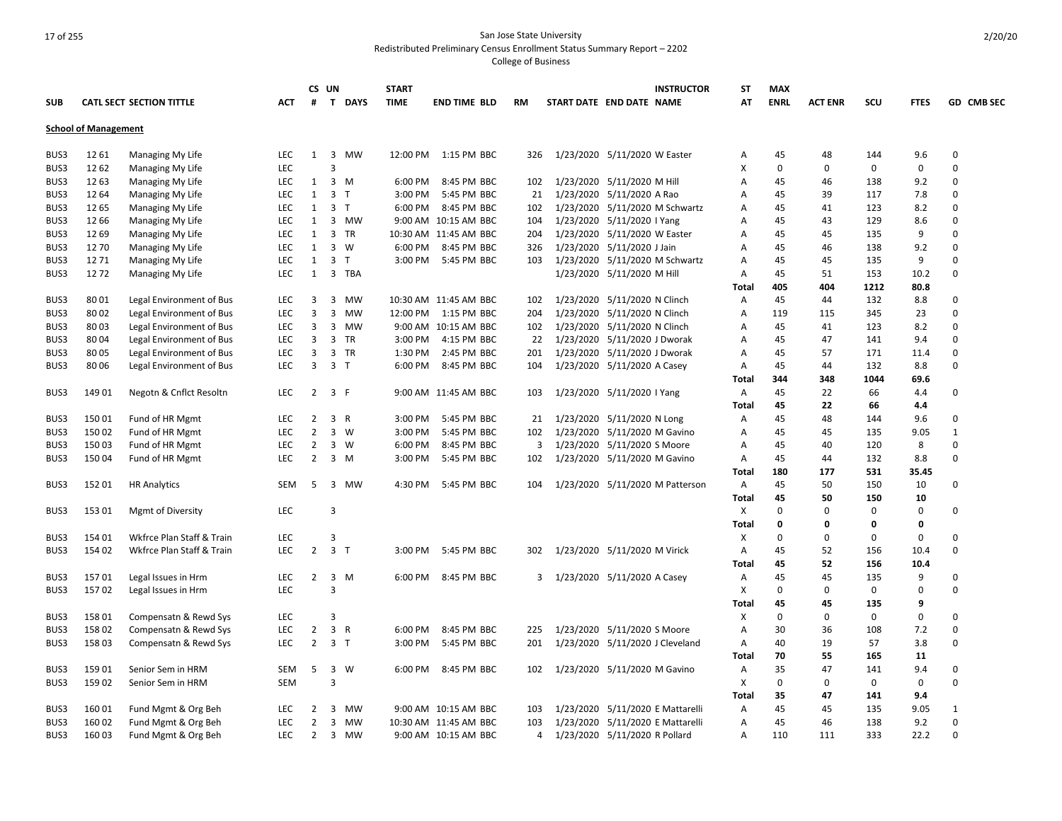|                             |              |                                 |            |                   | CS UN          |          | <b>START</b> |                       |     |                             |                                                            | <b>INSTRUCTOR</b>                | ST           | <b>MAX</b>  |                |             |             |              |
|-----------------------------|--------------|---------------------------------|------------|-------------------|----------------|----------|--------------|-----------------------|-----|-----------------------------|------------------------------------------------------------|----------------------------------|--------------|-------------|----------------|-------------|-------------|--------------|
| <b>SUB</b>                  |              | <b>CATL SECT SECTION TITTLE</b> | АСТ        | #                 |                | T DAYS   | <b>TIME</b>  | <b>END TIME BLD</b>   | RM  | START DATE END DATE NAME    |                                                            |                                  | AT           | <b>ENRL</b> | <b>ACT ENR</b> | scu         | <b>FTES</b> | GD CMB SEC   |
| <b>School of Management</b> |              |                                 |            |                   |                |          |              |                       |     |                             |                                                            |                                  |              |             |                |             |             |              |
| BUS3                        | 12 61        | Managing My Life                | <b>LEC</b> | $\mathbf{1}$      |                | 3 MW     | 12:00 PM     | 1:15 PM BBC           | 326 |                             | 1/23/2020 5/11/2020 W Easter                               |                                  | Α            | 45          | 48             | 144         | 9.6         | $\mathbf 0$  |
| BUS3                        | 12 62        | Managing My Life                | <b>LEC</b> |                   | 3              |          |              |                       |     |                             |                                                            |                                  | X            | $\Omega$    | $\Omega$       | 0           | 0           | $\mathbf 0$  |
| BUS3                        | 1263         | Managing My Life                | LEC        | 1                 |                | 3 M      | 6:00 PM      | 8:45 PM BBC           | 102 |                             | 1/23/2020 5/11/2020 M Hill                                 |                                  | Α            | 45          | 46             | 138         | 9.2         | 0            |
| BUS3                        | 12 64        | Managing My Life                | <b>LEC</b> | 1                 | 3 <sub>T</sub> |          | 3:00 PM      | 5:45 PM BBC           | 21  |                             | 1/23/2020 5/11/2020 A Rao                                  |                                  | Α            | 45          | 39             | 117         | 7.8         | 0            |
| BUS3                        | 12 65        |                                 | <b>LEC</b> | $\mathbf{1}$      | 3 <sub>1</sub> |          | 6:00 PM      | 8:45 PM BBC           | 102 |                             |                                                            | 1/23/2020 5/11/2020 M Schwartz   |              | 45          | 41             | 123         | 8.2         | $\Omega$     |
| BUS3                        | 12 66        | Managing My Life                | LEC        | 1                 |                | 3 MW     |              | 9:00 AM 10:15 AM BBC  | 104 |                             | 1/23/2020 5/11/2020   Yang                                 |                                  | Α<br>Α       | 45          | 43             | 129         | 8.6         | 0            |
| BUS3                        | 12 69        | Managing My Life                | <b>LEC</b> | $\mathbf{1}$      |                | 3 TR     |              | 10:30 AM 11:45 AM BBC | 204 |                             |                                                            |                                  | Α            | 45          | 45             | 135         | 9           | $\Omega$     |
| BUS3                        | 1270         | Managing My Life                | <b>LEC</b> | $\mathbf{1}$      |                | 3 W      | 6:00 PM      | 8:45 PM BBC           |     |                             | 1/23/2020 5/11/2020 W Easter<br>1/23/2020 5/11/2020 J Jain |                                  |              | 45          | 46             | 138         | 9.2         | 0            |
|                             |              | Managing My Life                | <b>LEC</b> |                   |                |          |              |                       | 326 |                             |                                                            |                                  | Α            |             |                |             | 9           | $\Omega$     |
| BUS3<br>BUS3                | 1271<br>1272 | Managing My Life                | <b>LEC</b> | $\mathbf{1}$<br>1 | 3 <sub>T</sub> | 3 TBA    | 3:00 PM      | 5:45 PM BBC           | 103 |                             |                                                            | 1/23/2020 5/11/2020 M Schwartz   | Α            | 45<br>45    | 45<br>51       | 135<br>153  | 10.2        | $\Omega$     |
|                             |              | Managing My Life                |            |                   |                |          |              |                       |     |                             | 1/23/2020 5/11/2020 M Hill                                 |                                  | Α            |             |                |             |             |              |
|                             |              |                                 |            |                   |                |          |              |                       |     |                             |                                                            |                                  | Total        | 405         | 404            | 1212        | 80.8        |              |
| BUS3                        | 8001         | Legal Environment of Bus        | <b>LEC</b> | 3                 |                | 3 MW     |              | 10:30 AM 11:45 AM BBC | 102 |                             | 1/23/2020 5/11/2020 N Clinch                               |                                  | A            | 45          | 44             | 132         | 8.8         | 0            |
| BUS3                        | 8002         | Legal Environment of Bus        | <b>LEC</b> | 3                 |                | 3 MW     | 12:00 PM     | 1:15 PM BBC           | 204 |                             | 1/23/2020 5/11/2020 N Clinch                               |                                  | Α            | 119         | 115            | 345         | 23          | $\Omega$     |
| BUS3                        | 8003         | Legal Environment of Bus        | <b>LEC</b> | 3                 |                | 3 MW     |              | 9:00 AM 10:15 AM BBC  | 102 |                             | 1/23/2020 5/11/2020 N Clinch                               |                                  | Α            | 45          | 41             | 123         | 8.2         | $\Omega$     |
| BUS3                        | 8004         | Legal Environment of Bus        | <b>LEC</b> | 3                 |                | 3 TR     | 3:00 PM      | 4:15 PM BBC           | 22  |                             | 1/23/2020 5/11/2020 J Dworak                               |                                  | Α            | 45          | 47             | 141         | 9.4         | 0            |
| BUS3                        | 8005         | Legal Environment of Bus        | <b>LEC</b> | 3                 |                | 3 TR     | 1:30 PM      | 2:45 PM BBC           | 201 |                             | 1/23/2020 5/11/2020 J Dworak                               |                                  | Α            | 45          | 57             | 171         | 11.4        | $\Omega$     |
| BUS3                        | 8006         | Legal Environment of Bus        | LEC        | 3                 | 3 <sub>T</sub> |          | 6:00 PM      | 8:45 PM BBC           | 104 |                             | 1/23/2020 5/11/2020 A Casey                                |                                  | Α            | 45          | 44             | 132         | 8.8         | 0            |
|                             |              |                                 |            |                   |                |          |              |                       |     |                             |                                                            |                                  | Total        | 344         | 348            | 1044        | 69.6        |              |
| BUS3                        | 14901        | Negotn & Cnflct Resoltn         | <b>LEC</b> | $\overline{2}$    | 3 F            |          |              | 9:00 AM 11:45 AM BBC  | 103 |                             | 1/23/2020 5/11/2020 I Yang                                 |                                  | Α            | 45          | 22             | 66          | 4.4         | 0            |
|                             |              |                                 |            |                   |                |          |              |                       |     |                             |                                                            |                                  | Total        | 45          | 22             | 66          | 4.4         |              |
| BUS3                        | 15001        | Fund of HR Mgmt                 | <b>LEC</b> | 2                 |                | 3 R      | 3:00 PM      | 5:45 PM BBC           | 21  |                             | 1/23/2020 5/11/2020 N Long                                 |                                  | Α            | 45          | 48             | 144         | 9.6         | 0            |
| BUS3                        | 15002        | Fund of HR Mgmt                 | LEC        | $\overline{2}$    |                | 3 W      | 3:00 PM      | 5:45 PM BBC           | 102 |                             | 1/23/2020 5/11/2020 M Gavino                               |                                  | Α            | 45          | 45             | 135         | 9.05        | $\mathbf{1}$ |
| BUS3                        | 15003        | Fund of HR Mgmt                 | <b>LEC</b> | 2                 |                | 3 W      | 6:00 PM      | 8:45 PM BBC           | 3   |                             | 1/23/2020 5/11/2020 S Moore                                |                                  | Α            | 45          | 40             | 120         | 8           | 0            |
| BUS3                        | 15004        | Fund of HR Mgmt                 | <b>LEC</b> | $\overline{2}$    |                | $3 \, M$ | 3:00 PM      | 5:45 PM BBC           | 102 |                             | 1/23/2020 5/11/2020 M Gavino                               |                                  | Α            | 45          | 44             | 132         | 8.8         | $\Omega$     |
|                             |              |                                 |            |                   |                |          |              |                       |     |                             |                                                            |                                  | Total        | 180         | 177            | 531         | 35.45       |              |
| BUS3                        | 15201        | <b>HR Analytics</b>             | SEM        | 5                 |                | 3 MW     |              | 4:30 PM 5:45 PM BBC   | 104 |                             |                                                            | 1/23/2020 5/11/2020 M Patterson  | Α            | 45          | 50             | 150         | 10          | 0            |
|                             |              |                                 |            |                   |                |          |              |                       |     |                             |                                                            |                                  | <b>Total</b> | 45          | 50             | 150         | 10          |              |
| BUS3                        | 15301        | <b>Mgmt of Diversity</b>        | LEC        |                   | 3              |          |              |                       |     |                             |                                                            |                                  | X            | $\mathbf 0$ | 0              | 0           | $\mathbf 0$ | 0            |
|                             |              |                                 |            |                   |                |          |              |                       |     |                             |                                                            |                                  | Total        | 0           | 0              | 0           | 0           |              |
| BUS3                        | 154 01       | Wkfrce Plan Staff & Train       | LEC        |                   | 3              |          |              |                       |     |                             |                                                            |                                  | X            | $\Omega$    | 0              | $\Omega$    | $\Omega$    | 0            |
| BUS3                        | 154 02       | Wkfrce Plan Staff & Train       | LEC        | $\overline{2}$    | 3 <sub>7</sub> |          | 3:00 PM      | 5:45 PM BBC           | 302 |                             | 1/23/2020 5/11/2020 M Virick                               |                                  | Α            | 45          | 52             | 156         | 10.4        | 0            |
|                             |              |                                 |            |                   |                |          |              |                       |     |                             |                                                            |                                  | Total        | 45          | 52             | 156         | 10.4        |              |
| BUS3                        | 15701        | Legal Issues in Hrm             | <b>LEC</b> | 2                 |                | $3 \, M$ | 6:00 PM      | 8:45 PM BBC           | 3   | 1/23/2020 5/11/2020 A Casey |                                                            |                                  | Α            | 45          | 45             | 135         | 9           | $\Omega$     |
| BUS3                        | 15702        | Legal Issues in Hrm             | LEC        |                   | 3              |          |              |                       |     |                             |                                                            |                                  | X            | 0           | 0              | $\mathbf 0$ | $\Omega$    | 0            |
|                             |              |                                 |            |                   |                |          |              |                       |     |                             |                                                            |                                  | Total        | 45          | 45             | 135         | 9           |              |
| BUS3                        | 15801        | Compensatn & Rewd Sys           | <b>LEC</b> |                   | 3              |          |              |                       |     |                             |                                                            |                                  | X            | $\Omega$    | 0              | 0           | $\Omega$    | 0            |
| BUS3                        | 15802        | Compensatn & Rewd Sys           | LEC        | $\overline{2}$    |                | 3 R      | 6:00 PM      | 8:45 PM BBC           | 225 |                             | 1/23/2020 5/11/2020 S Moore                                |                                  | Α            | 30          | 36             | 108         | 7.2         | 0            |
| BUS3                        | 15803        | Compensatn & Rewd Sys           | <b>LEC</b> | $\overline{2}$    | 3 <sub>T</sub> |          | 3:00 PM      | 5:45 PM BBC           | 201 |                             |                                                            | 1/23/2020 5/11/2020 J Cleveland  | Α            | 40          | 19             | 57          | 3.8         | $\Omega$     |
|                             |              |                                 |            |                   |                |          |              |                       |     |                             |                                                            |                                  | <b>Total</b> | 70          | 55             | 165         | 11          |              |
| BUS3                        | 15901        | Senior Sem in HRM               | SEM        | 5                 |                | 3 W      | 6:00 PM      | 8:45 PM BBC           | 102 |                             | 1/23/2020 5/11/2020 M Gavino                               |                                  | Α            | 35          | 47             | 141         | 9.4         | 0            |
| BUS3                        | 15902        | Senior Sem in HRM               | <b>SEM</b> |                   | 3              |          |              |                       |     |                             |                                                            |                                  | X            | $\Omega$    | 0              | 0           | 0           | $\Omega$     |
|                             |              |                                 |            |                   |                |          |              |                       |     |                             |                                                            |                                  | <b>Total</b> | 35          | 47             | 141         | 9.4         |              |
| BUS3                        | 16001        | Fund Mgmt & Org Beh             | LEC        | 2                 | 3              | MW       |              | 9:00 AM 10:15 AM BBC  | 103 |                             |                                                            | 1/23/2020 5/11/2020 E Mattarelli | A            | 45          | 45             | 135         | 9.05        | 1            |
| BUS3                        | 16002        | Fund Mgmt & Org Beh             | <b>LEC</b> | $\overline{2}$    | 3              | MW       |              | 10:30 AM 11:45 AM BBC | 103 |                             |                                                            | 1/23/2020 5/11/2020 E Mattarelli | A            | 45          | 46             | 138         | 9.2         | 0            |
| BUS3                        | 16003        | Fund Mgmt & Org Beh             | <b>LEC</b> | $\overline{2}$    |                | 3 MW     |              | 9:00 AM 10:15 AM BBC  | 4   |                             | 1/23/2020 5/11/2020 R Pollard                              |                                  | Α            | 110         | 111            | 333         | 22.2        | 0            |
|                             |              |                                 |            |                   |                |          |              |                       |     |                             |                                                            |                                  |              |             |                |             |             |              |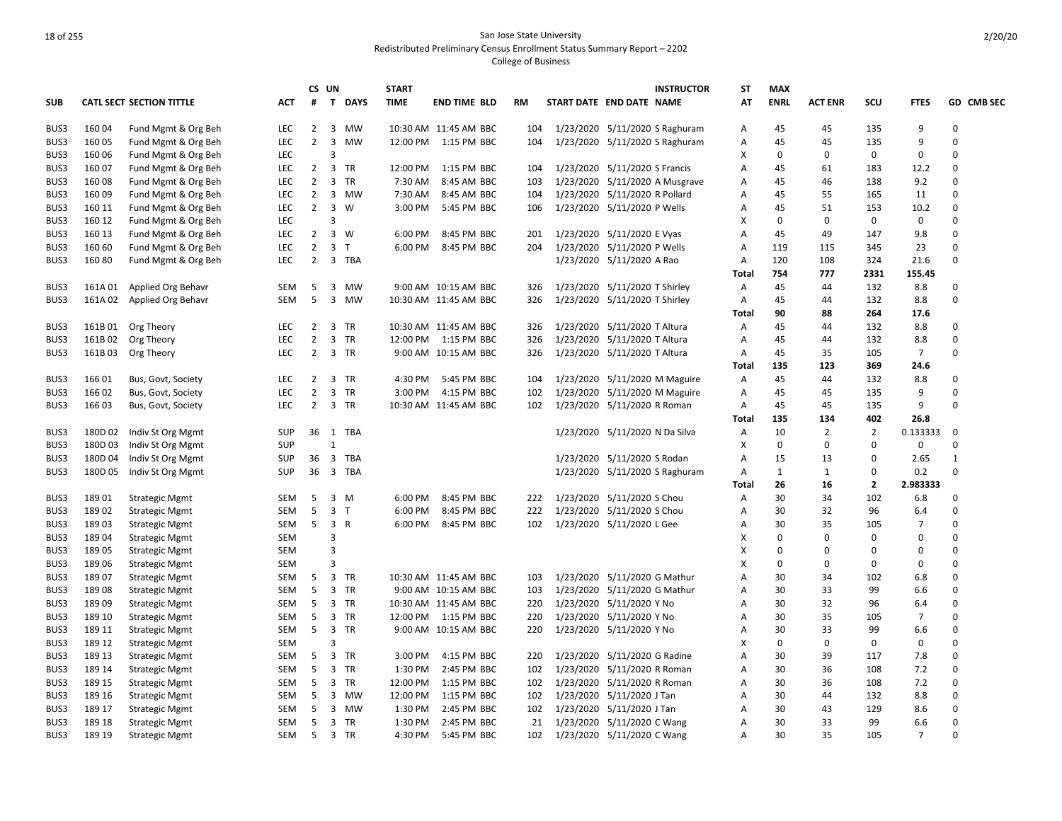|            |         |                                 |            |                | CS UN                   |                | <b>START</b> |                       |     |                            |                                | <b>INSTRUCTOR</b>              | ST                | <b>MAX</b>   |                |              |                |                   |
|------------|---------|---------------------------------|------------|----------------|-------------------------|----------------|--------------|-----------------------|-----|----------------------------|--------------------------------|--------------------------------|-------------------|--------------|----------------|--------------|----------------|-------------------|
| <b>SUB</b> |         | <b>CATL SECT SECTION TITTLE</b> | <b>ACT</b> | #              | $\mathbf{T}$            | <b>DAYS</b>    | <b>TIME</b>  | <b>END TIME BLD</b>   | RM  | START DATE END DATE NAME   |                                |                                | AT                | <b>ENRL</b>  | <b>ACT ENR</b> | SCU          | <b>FTES</b>    | <b>GD CMB SEC</b> |
| BUS3       | 16004   | Fund Mgmt & Org Beh             | LEC        | $\overline{2}$ | $\overline{3}$          | <b>MW</b>      |              | 10:30 AM 11:45 AM BBC | 104 |                            |                                | 1/23/2020 5/11/2020 S Raghuram | Α                 | 45           | 45             | 135          | 9              | 0                 |
| BUS3       | 16005   | Fund Mgmt & Org Beh             | LEC        | $\overline{2}$ | $\overline{\mathbf{3}}$ | <b>MW</b>      | 12:00 PM     | 1:15 PM BBC           | 104 |                            |                                | 1/23/2020 5/11/2020 S Raghuram | Α                 | 45           | 45             | 135          | 9              | $\Omega$          |
| BUS3       | 16006   | Fund Mgmt & Org Beh             | LEC        |                | 3                       |                |              |                       |     |                            |                                |                                | х                 | 0            | 0              | 0            | $\Omega$       | $\Omega$          |
| BUS3       | 160 07  | Fund Mgmt & Org Beh             | LEC        | $\overline{2}$ | $\overline{3}$          | TR             | 12:00 PM     | 1:15 PM BBC           | 104 |                            | 1/23/2020 5/11/2020 S Francis  |                                | Α                 | 45           | 61             | 183          | 12.2           | 0                 |
| BUS3       | 16008   | Fund Mgmt & Org Beh             | LEC        | $\overline{2}$ | $\overline{3}$          | TR             | 7:30 AM      | 8:45 AM BBC           | 103 |                            |                                | 1/23/2020 5/11/2020 A Musgrave | Α                 | 45           | 46             | 138          | 9.2            | $\Omega$          |
| BUS3       | 16009   | Fund Mgmt & Org Beh             | LEC        | $\overline{2}$ |                         | 3 MW           | 7:30 AM      | 8:45 AM BBC           | 104 |                            | 1/23/2020 5/11/2020 R Pollard  |                                | Α                 | 45           | 55             | 165          | 11             | 0                 |
| BUS3       | 160 11  | Fund Mgmt & Org Beh             | LEC        | $\overline{2}$ | $\overline{\mathbf{3}}$ | W              | 3:00 PM      | 5:45 PM BBC           | 106 |                            | 1/23/2020 5/11/2020 P Wells    |                                | Α                 | 45           | 51             | 153          | 10.2           | $\Omega$          |
| BUS3       | 160 12  | Fund Mgmt & Org Beh             | LEC        |                | 3                       |                |              |                       |     |                            |                                |                                | х                 | $\Omega$     | 0              | 0            | $\mathbf 0$    | $\Omega$          |
| BUS3       | 160 13  | Fund Mgmt & Org Beh             | LEC        | 2              |                         | 3 W            | 6:00 PM      | 8:45 PM BBC           | 201 |                            | 1/23/2020 5/11/2020 E Vyas     |                                | A                 | 45           | 49             | 147          | 9.8            | $\Omega$          |
| BUS3       | 160 60  | Fund Mgmt & Org Beh             | LEC        | $\overline{2}$ |                         | 3 <sub>1</sub> | 6:00 PM      | 8:45 PM BBC           | 204 |                            | 1/23/2020 5/11/2020 P Wells    |                                | Α                 | 119          | 115            | 345          | 23             | $\Omega$          |
| BUS3       | 16080   | Fund Mgmt & Org Beh             | LEC        | $\overline{2}$ |                         | 3 TBA          |              |                       |     |                            | 1/23/2020 5/11/2020 A Rao      |                                | Α<br><b>Total</b> | 120<br>754   | 108<br>777     | 324<br>2331  | 21.6<br>155.45 | $\Omega$          |
| BUS3       | 161A 01 | Applied Org Behavr              | SEM        | -5             |                         | 3 MW           |              | 9:00 AM 10:15 AM BBC  | 326 |                            | 1/23/2020 5/11/2020 T Shirley  |                                | Α                 | 45           | 44             | 132          | 8.8            | $\Omega$          |
| BUS3       | 161A02  | Applied Org Behavr              | <b>SEM</b> | 5              | $\overline{3}$          | MW             |              | 10:30 AM 11:45 AM BBC | 326 |                            | 1/23/2020 5/11/2020 T Shirley  |                                | Α                 | 45           | 44             | 132          | 8.8            | $\Omega$          |
|            |         |                                 |            |                |                         |                |              |                       |     |                            |                                |                                | Total             | 90           | 88             | 264          | 17.6           |                   |
| BUS3       | 161B01  | Org Theory                      | LEC        | $\overline{2}$ |                         | 3 TR           |              | 10:30 AM 11:45 AM BBC | 326 |                            | 1/23/2020 5/11/2020 T Altura   |                                | Α                 | 45           | 44             | 132          | 8.8            | $\Omega$          |
| BUS3       | 161B02  |                                 | LEC        | $\overline{2}$ |                         | 3 TR           | 12:00 PM     | 1:15 PM BBC           | 326 |                            | 1/23/2020 5/11/2020 T Altura   |                                | Α                 | 45           | 44             | 132          | 8.8            | $\Omega$          |
| BUS3       | 161B03  | Org Theory                      | LEC        | $\overline{2}$ |                         | 3 TR           |              | 9:00 AM 10:15 AM BBC  | 326 |                            | 1/23/2020 5/11/2020 T Altura   |                                |                   | 45           | 35             | 105          | $\overline{7}$ | $\Omega$          |
|            |         | Org Theory                      |            |                |                         |                |              |                       |     |                            |                                |                                | Α<br>Total        | 135          | 123            | 369          | 24.6           |                   |
| BUS3       | 16601   | Bus, Govt, Society              | LEC        | $2^{\circ}$    |                         | 3 TR           | 4:30 PM      | 5:45 PM BBC           | 104 |                            |                                | 1/23/2020 5/11/2020 M Maguire  | Α                 | 45           | 44             | 132          | 8.8            | $\Omega$          |
| BUS3       | 16602   | Bus, Govt, Society              | LEC        | $\overline{2}$ |                         | 3 TR           | 3:00 PM      | 4:15 PM BBC           | 102 |                            |                                | 1/23/2020 5/11/2020 M Maguire  | Α                 | 45           | 45             | 135          | 9              | $\Omega$          |
| BUS3       | 16603   |                                 | LEC        | $2^{\circ}$    |                         | 3 TR           |              | 10:30 AM 11:45 AM BBC | 102 |                            | 1/23/2020 5/11/2020 R Roman    |                                | Α                 | 45           | 45             | 135          | 9              | $\Omega$          |
|            |         | Bus, Govt, Society              |            |                |                         |                |              |                       |     |                            |                                |                                | Total             | 135          | 134            | 402          | 26.8           |                   |
| BUS3       | 180D 02 | Indiv St Org Mgmt               | <b>SUP</b> |                |                         | 36 1 TBA       |              |                       |     |                            | 1/23/2020 5/11/2020 N Da Silva |                                | Α                 | 10           | 2              | 2            | 0.133333       | 0                 |
| BUS3       | 180D03  | Indiv St Org Mgmt               | SUP        |                | $\mathbf{1}$            |                |              |                       |     |                            |                                |                                | х                 | $\mathbf 0$  | $\Omega$       | 0            | $\mathbf 0$    | $\Omega$          |
| BUS3       | 180D 04 | Indiv St Org Mgmt               | <b>SUP</b> | 36             |                         | 3 TBA          |              |                       |     |                            | 1/23/2020 5/11/2020 S Rodan    |                                | Α                 | 15           | 13             | 0            | 2.65           | $\mathbf{1}$      |
| BUS3       | 180D05  | Indiv St Org Mgmt               | SUP        | 36             | $\overline{\mathbf{3}}$ | TBA            |              |                       |     |                            |                                | 1/23/2020 5/11/2020 S Raghuram | Α                 | $\mathbf{1}$ | 1              | 0            | 0.2            | $\Omega$          |
|            |         |                                 |            |                |                         |                |              |                       |     |                            |                                |                                | Total             | 26           | 16             | $\mathbf{2}$ | 2.983333       |                   |
| BUS3       | 18901   | <b>Strategic Mgmt</b>           | SEM        | 5              | 3                       | M              | 6:00 PM      | 8:45 PM BBC           | 222 |                            | 1/23/2020 5/11/2020 S Chou     |                                | Α                 | 30           | 34             | 102          | 6.8            | $\Omega$          |
| BUS3       | 18902   | <b>Strategic Mgmt</b>           | SEM        | 5              |                         | 3 <sub>T</sub> | 6:00 PM      | 8:45 PM BBC           | 222 |                            | 1/23/2020 5/11/2020 S Chou     |                                | Α                 | 30           | 32             | 96           | 6.4            | $\Omega$          |
| BUS3       | 18903   | <b>Strategic Mgmt</b>           | SEM        | 5              |                         | 3 R            | 6:00 PM      | 8:45 PM BBC           | 102 |                            | 1/23/2020 5/11/2020 L Gee      |                                | Α                 | 30           | 35             | 105          | $\overline{7}$ | $\Omega$          |
| BUS3       | 18904   | <b>Strategic Mgmt</b>           | SEM        |                | 3                       |                |              |                       |     |                            |                                |                                | X                 | 0            | $\Omega$       | $\Omega$     | $\Omega$       | $\Omega$          |
| BUS3       | 18905   | <b>Strategic Mgmt</b>           | <b>SEM</b> |                | 3                       |                |              |                       |     |                            |                                |                                | X                 | $\Omega$     | $\Omega$       | $\Omega$     | $\Omega$       | $\Omega$          |
| BUS3       | 18906   | <b>Strategic Mgmt</b>           | <b>SEM</b> |                | 3                       |                |              |                       |     |                            |                                |                                | X                 | $\Omega$     | 0              | 0            | $\Omega$       | $\Omega$          |
| BUS3       | 18907   | <b>Strategic Mgmt</b>           | <b>SEM</b> | 5              | $\overline{3}$          | TR             |              | 10:30 AM 11:45 AM BBC | 103 |                            | 1/23/2020 5/11/2020 G Mathur   |                                | A                 | 30           | 34             | 102          | 6.8            | $\Omega$          |
| BUS3       | 18908   | <b>Strategic Mgmt</b>           | <b>SEM</b> | -5             |                         | 3 TR           |              | 9:00 AM 10:15 AM BBC  | 103 |                            | 1/23/2020 5/11/2020 G Mathur   |                                | Α                 | 30           | 33             | 99           | 6.6            | $\Omega$          |
| BUS3       | 18909   | <b>Strategic Mgmt</b>           | <b>SEM</b> | 5              |                         | 3 TR           |              | 10:30 AM 11:45 AM BBC | 220 |                            | 1/23/2020 5/11/2020 Y No       |                                | A                 | 30           | 32             | 96           | 6.4            | $\Omega$          |
| BUS3       | 189 10  | <b>Strategic Mgmt</b>           | SEM        | 5              |                         | 3 TR           |              | 12:00 PM 1:15 PM BBC  | 220 |                            | 1/23/2020 5/11/2020 Y No       |                                | Α                 | 30           | 35             | 105          | $\overline{7}$ | 0                 |
| BUS3       | 189 11  | <b>Strategic Mgmt</b>           | <b>SEM</b> | 5              |                         | 3 TR           |              | 9:00 AM 10:15 AM BBC  | 220 |                            | 1/23/2020 5/11/2020 Y No       |                                | A                 | 30           | 33             | 99           | 6.6            | $\Omega$          |
| BUS3       | 189 12  | <b>Strategic Mgmt</b>           | SEM        |                | 3                       |                |              |                       |     |                            |                                |                                | X                 | $\mathbf 0$  | 0              | 0            | $\mathbf 0$    | $\mathbf 0$       |
| BUS3       | 189 13  | <b>Strategic Mgmt</b>           | SEM        | -5             |                         | 3 TR           | 3:00 PM      | 4:15 PM BBC           | 220 |                            | 1/23/2020 5/11/2020 G Radine   |                                | Α                 | 30           | 39             | 117          | 7.8            | $\Omega$          |
| BUS3       | 189 14  | <b>Strategic Mgmt</b>           | SEM        | 5              |                         | 3 TR           | 1:30 PM      | 2:45 PM BBC           | 102 |                            | 1/23/2020 5/11/2020 R Roman    |                                | Α                 | 30           | 36             | 108          | 7.2            | $\Omega$          |
| BUS3       | 189 15  | <b>Strategic Mgmt</b>           | SEM        | 5              | $\overline{3}$          | <b>TR</b>      | 12:00 PM     | 1:15 PM BBC           | 102 |                            | 1/23/2020 5/11/2020 R Roman    |                                | Α                 | 30           | 36             | 108          | 7.2            | $\Omega$          |
| BUS3       | 189 16  | <b>Strategic Mgmt</b>           | SEM        | 5              |                         | 3 MW           | 12:00 PM     | 1:15 PM BBC           | 102 |                            | 1/23/2020 5/11/2020 J Tan      |                                | Α                 | 30           | 44             | 132          | 8.8            | $\Omega$          |
| BUS3       | 189 17  | <b>Strategic Mgmt</b>           | <b>SEM</b> | 5              | $\overline{3}$          | MW             | 1:30 PM      | 2:45 PM BBC           | 102 |                            | 1/23/2020 5/11/2020 J Tan      |                                | Α                 | 30           | 43             | 129          | 8.6            | $\Omega$          |
| BUS3       | 189 18  | <b>Strategic Mgmt</b>           | SEM        | 5              |                         | 3 TR           | 1:30 PM      | 2:45 PM BBC           | 21  | 1/23/2020 5/11/2020 C Wang |                                |                                | Α                 | 30           | 33             | 99           | 6.6            | 0                 |
| BUS3       | 189 19  | <b>Strategic Mgmt</b>           | SEM        | 5              |                         | 3 TR           | 4:30 PM      | 5:45 PM BBC           | 102 | 1/23/2020 5/11/2020 C Wang |                                |                                | A                 | 30           | 35             | 105          | $\overline{7}$ | $\Omega$          |
|            |         |                                 |            |                |                         |                |              |                       |     |                            |                                |                                |                   |              |                |              |                |                   |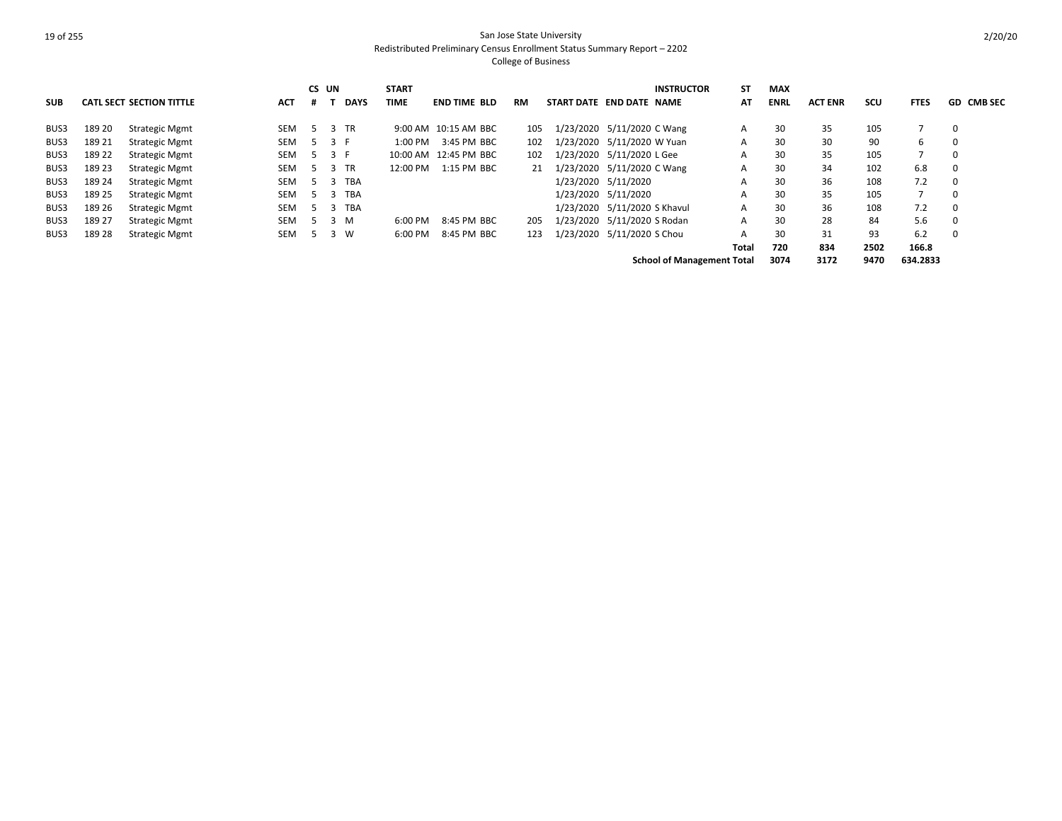|            |        |                                 |            |     | CS UN |             | <b>START</b> |                       |           |                            |                              | <b>INSTRUCTOR</b>                 | <b>ST</b> | <b>MAX</b>  |                |      |             |                   |
|------------|--------|---------------------------------|------------|-----|-------|-------------|--------------|-----------------------|-----------|----------------------------|------------------------------|-----------------------------------|-----------|-------------|----------------|------|-------------|-------------------|
| <b>SUB</b> |        | <b>CATL SECT SECTION TITTLE</b> | <b>ACT</b> |     |       | <b>DAYS</b> | TIME         | <b>END TIME BLD</b>   | <b>RM</b> | START DATE END DATE NAME   |                              |                                   | AT        | <b>ENRL</b> | <b>ACT ENR</b> | scu  | <b>FTES</b> | <b>GD CMB SEC</b> |
| BUS3       | 189 20 | Strategic Mgmt                  | <b>SEM</b> | -5  |       | 3 TR        |              | 9:00 AM 10:15 AM BBC  | 105       |                            | 1/23/2020 5/11/2020 C Wang   |                                   | A         | 30          | 35             | 105  |             |                   |
| BUS3       | 189 21 | <b>Strategic Mgmt</b>           | SEM        | -5  | 3 F   |             | 1:00 PM      | 3:45 PM BBC           | 102       |                            | 1/23/2020 5/11/2020 W Yuan   |                                   | A         | 30          | 30             | 90   | 6           |                   |
| BUS3       | 189 22 | <b>Strategic Mgmt</b>           | SEM        | -5  |       | 3 F         |              | 10:00 AM 12:45 PM BBC | 102       |                            | 1/23/2020 5/11/2020 L Gee    |                                   | A         | 30          | 35             | 105  |             |                   |
| BUS3       | 189 23 | <b>Strategic Mgmt</b>           | SEM        | -5  |       | 3 TR        | 12:00 PM     | 1:15 PM BBC           | 21        | 1/23/2020 5/11/2020 C Wang |                              |                                   | A         | 30          | 34             | 102  | 6.8         |                   |
| BUS3       | 189 24 | <b>Strategic Mgmt</b>           | <b>SEM</b> | -5. |       | <b>TBA</b>  |              |                       |           |                            | 1/23/2020 5/11/2020          |                                   | A         | 30          | 36             | 108  | 7.2         |                   |
| BUS3       | 189 25 | <b>Strategic Mgmt</b>           | <b>SEM</b> | -5  |       | <b>TBA</b>  |              |                       |           |                            | 1/23/2020 5/11/2020          |                                   | A         | 30          | 35             | 105  |             |                   |
| BUS3       | 189 26 | <b>Strategic Mgmt</b>           | <b>SEM</b> | 5   | - 3   | <b>TBA</b>  |              |                       |           |                            | 1/23/2020 5/11/2020 S Khavul |                                   | A         | 30          | 36             | 108  | 7.2         |                   |
| BUS3       | 189 27 | <b>Strategic Mgmt</b>           | <b>SEM</b> | -5  | 3     | M           | 6:00 PM      | 8:45 PM BBC           | 205       |                            | 1/23/2020 5/11/2020 S Rodan  |                                   | A         | 30          | 28             | 84   | 5.6         |                   |
| BUS3       | 189 28 | <b>Strategic Mgmt</b>           | <b>SEM</b> | ъ   | 3     | - W         | 6:00 PM      | 8:45 PM BBC           | 123       |                            | 1/23/2020 5/11/2020 S Chou   |                                   | A         | 30          | 31             | 93   | 6.2         |                   |
|            |        |                                 |            |     |       |             |              |                       |           |                            |                              |                                   | Total     | 720         | 834            | 2502 | 166.8       |                   |
|            |        |                                 |            |     |       |             |              |                       |           |                            |                              | <b>School of Management Total</b> |           | 3074        | 3172           | 9470 | 634.2833    |                   |